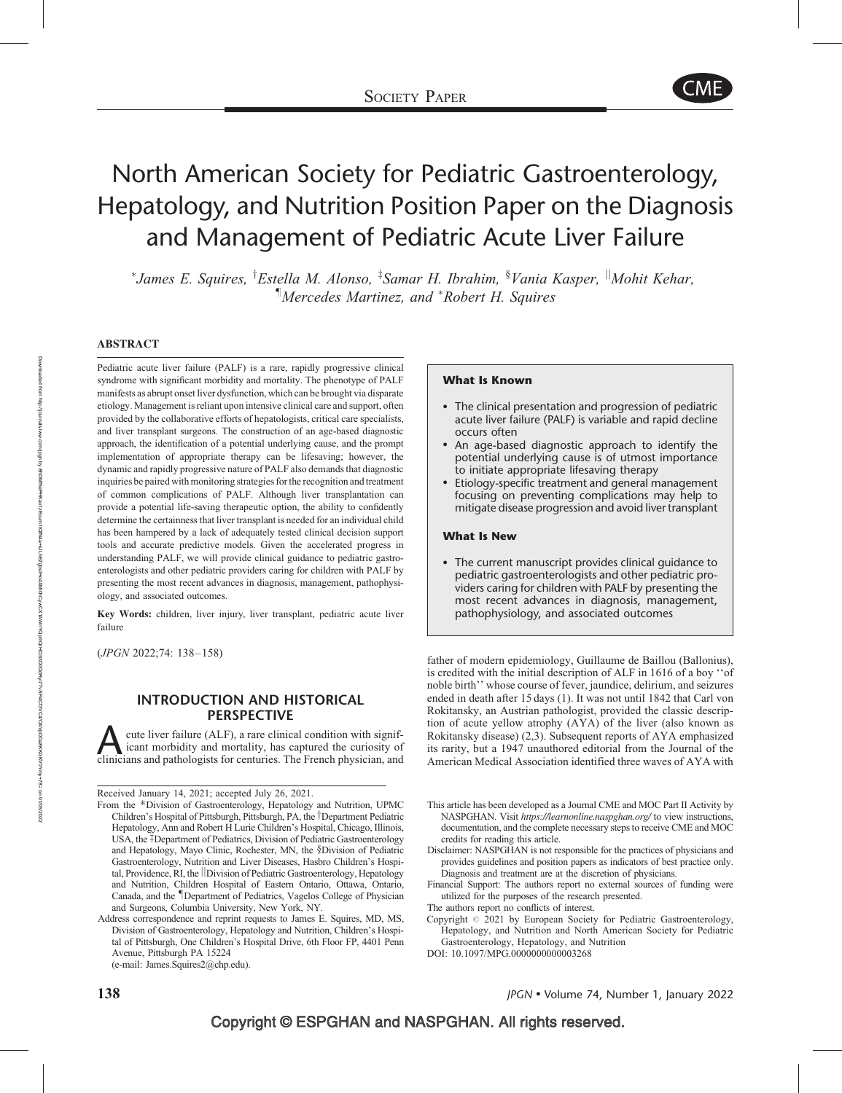

# North American Society for Pediatric Gastroenterology, Hepatology, and Nutrition Position Paper on the Diagnosis and Management of Pediatric Acute Liver Failure

\*James E. Squires, <sup>†</sup>Estella M. Alonso, <sup>‡</sup>Samar H. Ibrahim, <sup>§</sup>Vania Kasper, <sup>||</sup>Mohit Kehar, *Mercedes Martinez, and \*Robert H. Squires* 

#### ABSTRACT

Pediatric acute liver failure (PALF) is a rare, rapidly progressive clinical syndrome with significant morbidity and mortality. The phenotype of PALF manifests as abrupt onset liver dysfunction, which can be brought via disparate etiology. Management is reliant upon intensive clinical care and support, often provided by the collaborative efforts of hepatologists, critical care specialists, and liver transplant surgeons. The construction of an age-based diagnostic approach, the identification of a potential underlying cause, and the prompt implementation of appropriate therapy can be lifesaving; however, the dynamic and rapidly progressive nature of PALF also demands that diagnostic inquiries be paired with monitoring strategies for the recognition and treatment of common complications of PALF. Although liver transplantation can provide a potential life-saving therapeutic option, the ability to confidently determine the certainness that liver transplant is needed for an individual child has been hampered by a lack of adequately tested clinical decision support tools and accurate predictive models. Given the accelerated progress in understanding PALF, we will provide clinical guidance to pediatric gastroenterologists and other pediatric providers caring for children with PALF by presenting the most recent advances in diagnosis, management, pathophysiology, and associated outcomes.

Key Words: children, liver injury, liver transplant, pediatric acute liver failure

(JPGN 2022;74: 138–158)

#### INTRODUCTION AND HISTORICAL PERSPECTIVE

extracture liver failure (ALF), a rare clinical condition with significant morbidity and mortality, has captured the curiosity of clinicians and pathologists for centuries. The French physician, and icant morbidity and mortality, has captured the curiosity of

Received January 14, 2021; accepted July 26, 2021.

#### What Is Known

- The clinical presentation and progression of pediatric acute liver failure (PALF) is variable and rapid decline occurs often
- An age-based diagnostic approach to identify the potential underlying cause is of utmost importance to initiate appropriate lifesaving therapy
- Etiology-specific treatment and general management focusing on preventing complications may help to mitigate disease progression and avoid liver transplant

#### What Is New

 The current manuscript provides clinical guidance to pediatric gastroenterologists and other pediatric providers caring for children with PALF by presenting the most recent advances in diagnosis, management, pathophysiology, and associated outcomes

father of modern epidemiology, Guillaume de Baillou (Ballonius), is credited with the initial description of ALF in 1616 of a boy ''of noble birth'' whose course of fever, jaundice, delirium, and seizures ended in death after 15 days (1). It was not until 1842 that Carl von Rokitansky, an Austrian pathologist, provided the classic description of acute yellow atrophy (AYA) of the liver (also known as Rokitansky disease) (2,3). Subsequent reports of AYA emphasized its rarity, but a 1947 unauthored editorial from the Journal of the American Medical Association identified three waves of AYA with

- Disclaimer: NASPGHAN is not responsible for the practices of physicians and provides guidelines and position papers as indicators of best practice only. Diagnosis and treatment are at the discretion of physicians.
- Financial Support: The authors report no external sources of funding were utilized for the purposes of the research presented.
- The authors report no conflicts of interest.
- Copyright  $@$  2021 by European Society for Pediatric Gastroenterology, Hepatology, and Nutrition and North American Society for Pediatric Gastroenterology, Hepatology, and Nutrition
- DOI: [10.1097/MPG.0000000000003268](http://dx.doi.org/10.1097/MPG.0000000000003268)

From the \*Division of Gastroenterology, Hepatology and Nutrition, UPMC Children's Hospital of Pittsburgh, Pittsburgh, PA, the <sup>†</sup>Department Pediatric Hepatology, Ann and Robert H Lurie Children's Hospital, Chicago, Illinois, USA, the <sup>‡</sup>Department of Pediatrics, Division of Pediatric Gastroenterology and Hepatology, Mayo Clinic, Rochester, MN, the §Division of Pediatric Gastroenterology, Nutrition and Liver Diseases, Hasbro Children's Hospital, Providence, RI, the *Division* of Pediatric Gastroenterology, Hepatology and Nutrition, Children Hospital of Eastern Ontario, Ottawa, Ontario, Canada, and the *Department of Pediatrics*, Vagelos College of Physician and Surgeons, Columbia University, New York, NY.

Address correspondence and reprint requests to James E. Squires, MD, MS, Division of Gastroenterology, Hepatology and Nutrition, Children's Hospital of Pittsburgh, One Children's Hospital Drive, 6th Floor FP, 4401 Penn Avenue, Pittsburgh PA 15224 (e-mail: [James.Squires2@chp.edu\)](mailto:James.Squires2@chp.edu).

This article has been developed as a Journal CME and MOC Part II Activity by NASPGHAN. Visit [https://learnonline.naspghan.org/](https://nam04.safelinks.protection.outlook.com/?url=https%3A%2F%2Flearnonline.naspghan.org%2F&data=02%7C01%7CSarah.Birns%40wolterskluwer.com%7Cac09a9a59b68419bd1e408d83497568c%7C8ac76c91e7f141ffa89c3553b2da2c17%7C0%7C0%7C637317172024930392&sdat) to view instructions, documentation, and the complete necessary steps to receive CME and MOC credits for reading this article.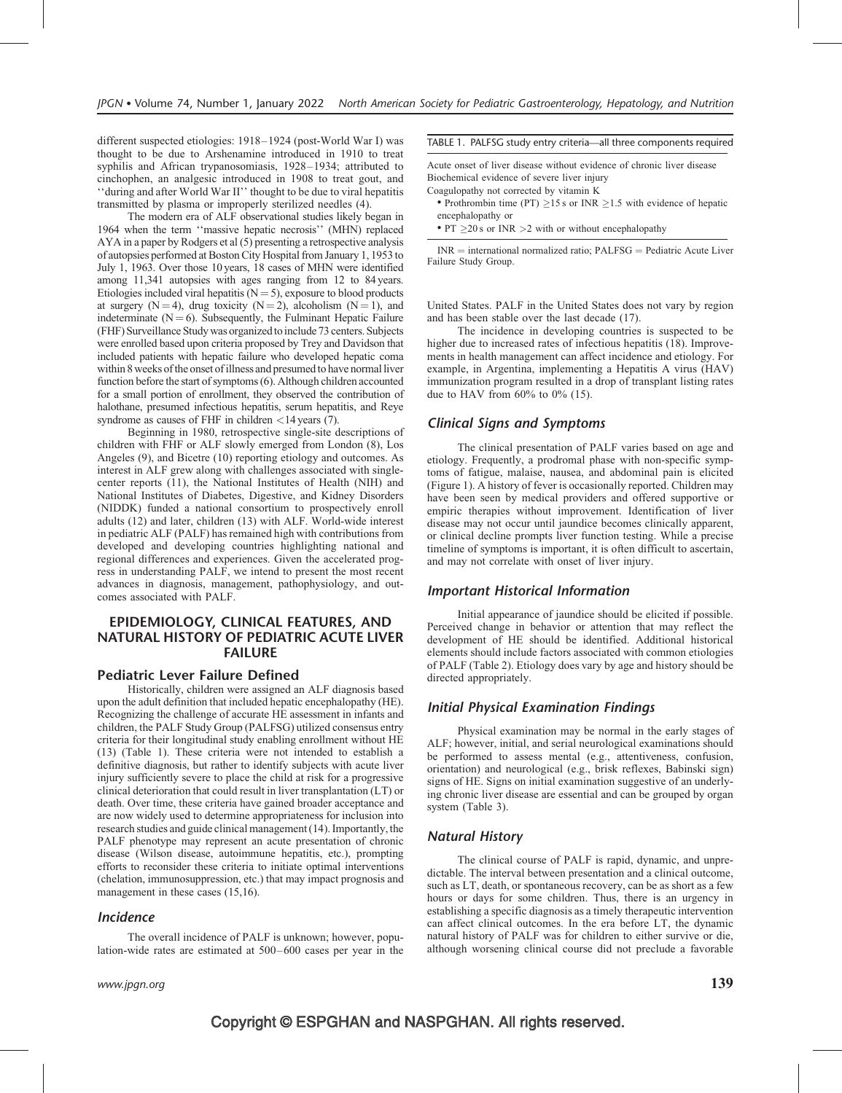different suspected etiologies: 1918–1924 (post-World War I) was thought to be due to Arshenamine introduced in 1910 to treat syphilis and African trypanosomiasis, 1928–1934; attributed to cinchophen, an analgesic introduced in 1908 to treat gout, and ''during and after World War II'' thought to be due to viral hepatitis transmitted by plasma or improperly sterilized needles (4).

The modern era of ALF observational studies likely began in 1964 when the term ''massive hepatic necrosis'' (MHN) replaced AYA in a paper by Rodgers et al (5) presenting a retrospective analysis of autopsies performed at Boston City Hospital from January 1, 1953 to July 1, 1963. Over those 10 years, 18 cases of MHN were identified among 11,341 autopsies with ages ranging from 12 to 84 years. Etiologies included viral hepatitis ( $N = 5$ ), exposure to blood products at surgery  $(N = 4)$ , drug toxicity  $(N = 2)$ , alcoholism  $(N = 1)$ , and indeterminate  $(N = 6)$ . Subsequently, the Fulminant Hepatic Failure (FHF) Surveillance Study was organized to include 73 centers. Subjects were enrolled based upon criteria proposed by Trey and Davidson that included patients with hepatic failure who developed hepatic coma within 8 weeks of the onset of illness and presumed to have normal liver function before the start of symptoms (6). Although children accounted for a small portion of enrollment, they observed the contribution of halothane, presumed infectious hepatitis, serum hepatitis, and Reye syndrome as causes of FHF in children  $\langle 14 \rangle$  years (7).

Beginning in 1980, retrospective single-site descriptions of children with FHF or ALF slowly emerged from London (8), Los Angeles (9), and Bicetre (10) reporting etiology and outcomes. As interest in ALF grew along with challenges associated with singlecenter reports (11), the National Institutes of Health (NIH) and National Institutes of Diabetes, Digestive, and Kidney Disorders (NIDDK) funded a national consortium to prospectively enroll adults (12) and later, children (13) with ALF. World-wide interest in pediatric ALF (PALF) has remained high with contributions from developed and developing countries highlighting national and regional differences and experiences. Given the accelerated progress in understanding PALF, we intend to present the most recent advances in diagnosis, management, pathophysiology, and outcomes associated with PALF.

#### EPIDEMIOLOGY, CLINICAL FEATURES, AND NATURAL HISTORY OF PEDIATRIC ACUTE LIVER FAILURE

#### Pediatric Lever Failure Defined

Historically, children were assigned an ALF diagnosis based upon the adult definition that included hepatic encephalopathy (HE). Recognizing the challenge of accurate HE assessment in infants and children, the PALF Study Group (PALFSG) utilized consensus entry criteria for their longitudinal study enabling enrollment without HE (13) (Table 1). These criteria were not intended to establish a definitive diagnosis, but rather to identify subjects with acute liver injury sufficiently severe to place the child at risk for a progressive clinical deterioration that could result in liver transplantation (LT) or death. Over time, these criteria have gained broader acceptance and are now widely used to determine appropriateness for inclusion into research studies and guide clinical management (14). Importantly, the PALF phenotype may represent an acute presentation of chronic disease (Wilson disease, autoimmune hepatitis, etc.), prompting efforts to reconsider these criteria to initiate optimal interventions (chelation, immunosuppression, etc.) that may impact prognosis and management in these cases (15,16).

#### Incidence

The overall incidence of PALF is unknown; however, population-wide rates are estimated at 500–600 cases per year in the

#### www.jpgn.org  $\hspace{1cm} 139$

#### TABLE 1. PALFSG study entry criteria—all three components required

Acute onset of liver disease without evidence of chronic liver disease Biochemical evidence of severe liver injury Coagulopathy not corrected by vitamin K

- Prothrombin time (PT)  $>15$  s or INR  $>1.5$  with evidence of hepatic encephalopathy or
- PT  $\geq$  20 s or INR  $>$  2 with or without encephalopathy

 $INR =$  international normalized ratio;  $PALFSG =$  Pediatric Acute Liver Failure Study Group.

United States. PALF in the United States does not vary by region and has been stable over the last decade (17).

The incidence in developing countries is suspected to be higher due to increased rates of infectious hepatitis (18). Improvements in health management can affect incidence and etiology. For example, in Argentina, implementing a Hepatitis A virus (HAV) immunization program resulted in a drop of transplant listing rates due to HAV from 60% to 0% (15).

#### Clinical Signs and Symptoms

The clinical presentation of PALF varies based on age and etiology. Frequently, a prodromal phase with non-specific symptoms of fatigue, malaise, nausea, and abdominal pain is elicited (Figure 1). A history of fever is occasionally reported. Children may have been seen by medical providers and offered supportive or empiric therapies without improvement. Identification of liver disease may not occur until jaundice becomes clinically apparent, or clinical decline prompts liver function testing. While a precise timeline of symptoms is important, it is often difficult to ascertain, and may not correlate with onset of liver injury.

#### Important Historical Information

Initial appearance of jaundice should be elicited if possible. Perceived change in behavior or attention that may reflect the development of HE should be identified. Additional historical elements should include factors associated with common etiologies of PALF (Table 2). Etiology does vary by age and history should be directed appropriately.

#### Initial Physical Examination Findings

Physical examination may be normal in the early stages of ALF; however, initial, and serial neurological examinations should be performed to assess mental (e.g., attentiveness, confusion, orientation) and neurological (e.g., brisk reflexes, Babinski sign) signs of HE. Signs on initial examination suggestive of an underlying chronic liver disease are essential and can be grouped by organ system (Table 3).

#### Natural History

The clinical course of PALF is rapid, dynamic, and unpredictable. The interval between presentation and a clinical outcome, such as LT, death, or spontaneous recovery, can be as short as a few hours or days for some children. Thus, there is an urgency in establishing a specific diagnosis as a timely therapeutic intervention can affect clinical outcomes. In the era before LT, the dynamic natural history of PALF was for children to either survive or die, although worsening clinical course did not preclude a favorable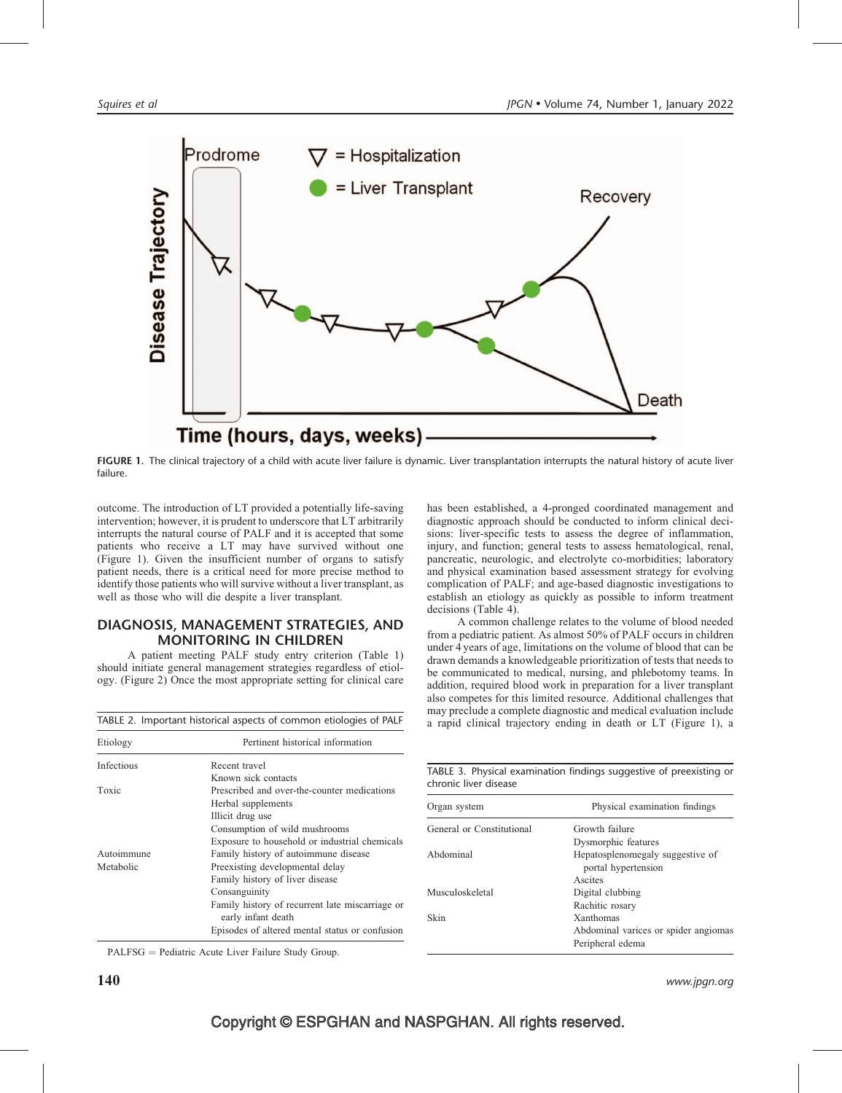

FIGURE 1. The clinical trajectory of a child with acute liver failure is dynamic. Liver transplantation interrupts the natural history of acute liver failure.

outcome. The introduction of LT provided a potentially life-saving intervention; however, it is prudent to underscore that LT arbitrarily interrupts the natural course of PALF and it is accepted that some patients who receive a LT may have survived without one (Figure 1). Given the insufficient number of organs to satisfy patient needs, there is a critical need for more precise method to identify those patients who will survive without a liver transplant, as well as those who will die despite a liver transplant.

#### DIAGNOSIS, MANAGEMENT STRATEGIES, AND MONITORING IN CHILDREN

A patient meeting PALF study entry criterion (Table 1) should initiate general management strategies regardless of etiology. (Figure 2) Once the most appropriate setting for clinical care

| Etiology   | Pertinent historical information                                      |  |
|------------|-----------------------------------------------------------------------|--|
| Infectious | Recent travel                                                         |  |
|            | Known sick contacts                                                   |  |
| Toxic      | Prescribed and over-the-counter medications                           |  |
|            | Herbal supplements                                                    |  |
|            | Illicit drug use                                                      |  |
|            | Consumption of wild mushrooms                                         |  |
|            | Exposure to household or industrial chemicals                         |  |
| Autoimmune | Family history of autoimmune disease                                  |  |
| Metabolic  | Preexisting developmental delay                                       |  |
|            | Family history of liver disease                                       |  |
|            | Consanguinity                                                         |  |
|            | Family history of recurrent late miscarriage or<br>early infant death |  |
|            | Episodes of altered mental status or confusion                        |  |

TABLE 2. Important historical aspects of common etiologies of PALF

has been established, a 4-pronged coordinated management and diagnostic approach should be conducted to inform clinical decisions: liver-specific tests to assess the degree of inflammation, injury, and function; general tests to assess hematological, renal, pancreatic, neurologic, and electrolyte co-morbidities; laboratory and physical examination based assessment strategy for evolving complication of PALF; and age-based diagnostic investigations to establish an etiology as quickly as possible to inform treatment decisions (Table 4).

A common challenge relates to the volume of blood needed from a pediatric patient. As almost 50% of PALF occurs in children under 4 years of age, limitations on the volume of blood that can be drawn demands a knowledgeable prioritization of tests that needs to be communicated to medical, nursing, and phlebotomy teams. In addition, required blood work in preparation for a liver transplant also competes for this limited resource. Additional challenges that may preclude a complete diagnostic and medical evaluation include a rapid clinical trajectory ending in death or LT (Figure 1), a

TABLE 3. Physical examination findings suggestive of preexisting or chronic liver disease

| Organ system              | Physical examination findings                           |
|---------------------------|---------------------------------------------------------|
| General or Constitutional | Growth failure                                          |
|                           | Dysmorphic features                                     |
| Abdominal                 | Hepatosplenomegaly suggestive of<br>portal hypertension |
|                           | Ascites                                                 |
| Musculoskeletal           | Digital clubbing                                        |
|                           | Rachitic rosary                                         |
| Skin                      | <b>Xanthomas</b>                                        |
|                           | Abdominal varices or spider angiomas                    |
|                           | Peripheral edema                                        |

PALFSG = Pediatric Acute Liver Failure Study Group.

 $\bf 140$  www.jpgn.org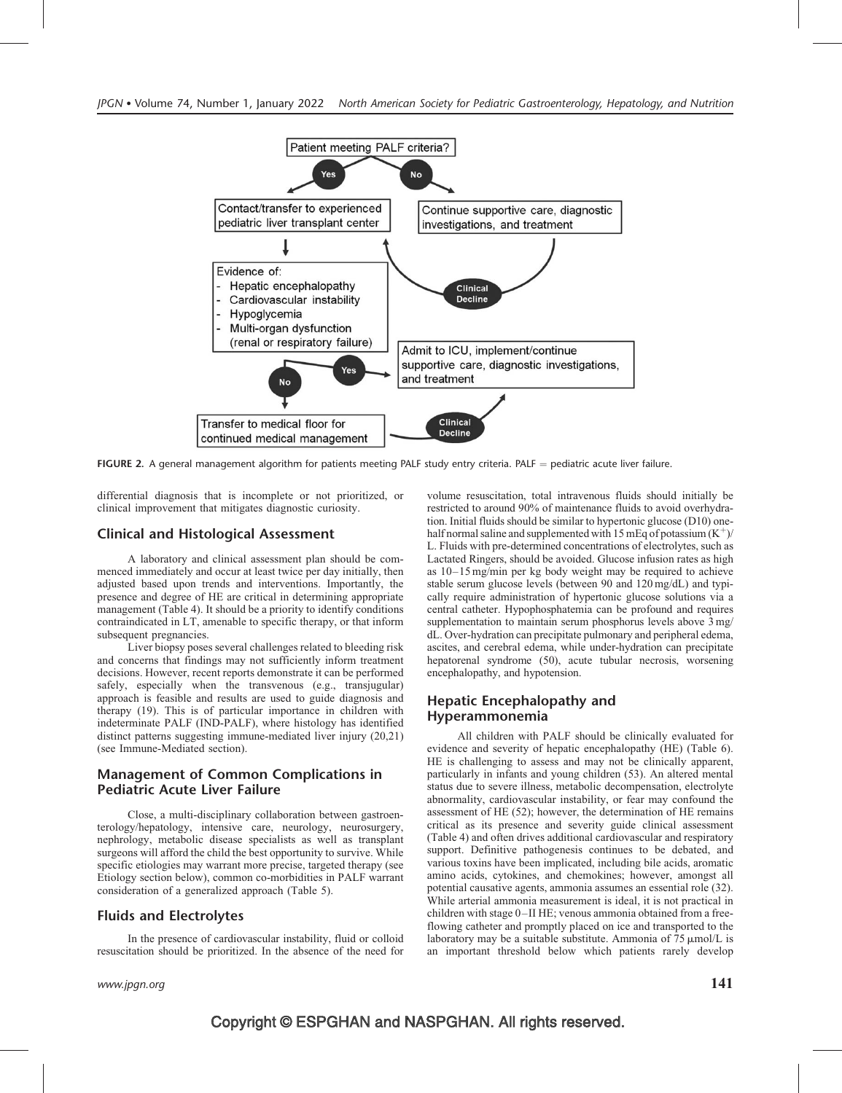

FIGURE 2. A general management algorithm for patients meeting PALF study entry criteria. PALF = pediatric acute liver failure.

differential diagnosis that is incomplete or not prioritized, or clinical improvement that mitigates diagnostic curiosity.

#### Clinical and Histological Assessment

A laboratory and clinical assessment plan should be commenced immediately and occur at least twice per day initially, then adjusted based upon trends and interventions. Importantly, the presence and degree of HE are critical in determining appropriate management (Table 4). It should be a priority to identify conditions contraindicated in LT, amenable to specific therapy, or that inform subsequent pregnancies.

Liver biopsy poses several challenges related to bleeding risk and concerns that findings may not sufficiently inform treatment decisions. However, recent reports demonstrate it can be performed safely, especially when the transvenous (e.g., transjugular) approach is feasible and results are used to guide diagnosis and therapy (19). This is of particular importance in children with indeterminate PALF (IND-PALF), where histology has identified distinct patterns suggesting immune-mediated liver injury (20,21) (see Immune-Mediated section).

#### Management of Common Complications in Pediatric Acute Liver Failure

Close, a multi-disciplinary collaboration between gastroenterology/hepatology, intensive care, neurology, neurosurgery, nephrology, metabolic disease specialists as well as transplant surgeons will afford the child the best opportunity to survive. While specific etiologies may warrant more precise, targeted therapy (see Etiology section below), common co-morbidities in PALF warrant consideration of a generalized approach (Table 5).

#### Fluids and Electrolytes

In the presence of cardiovascular instability, fluid or colloid resuscitation should be prioritized. In the absence of the need for volume resuscitation, total intravenous fluids should initially be restricted to around 90% of maintenance fluids to avoid overhydration. Initial fluids should be similar to hypertonic glucose (D10) onehalf normal saline and supplemented with 15 mEq of potassium  $(K^+)$ / L. Fluids with pre-determined concentrations of electrolytes, such as Lactated Ringers, should be avoided. Glucose infusion rates as high as 10–15 mg/min per kg body weight may be required to achieve stable serum glucose levels (between 90 and 120 mg/dL) and typically require administration of hypertonic glucose solutions via a central catheter. Hypophosphatemia can be profound and requires supplementation to maintain serum phosphorus levels above 3 mg/ dL. Over-hydration can precipitate pulmonary and peripheral edema, ascites, and cerebral edema, while under-hydration can precipitate hepatorenal syndrome (50), acute tubular necrosis, worsening encephalopathy, and hypotension.

#### Hepatic Encephalopathy and Hyperammonemia

All children with PALF should be clinically evaluated for evidence and severity of hepatic encephalopathy (HE) (Table 6). HE is challenging to assess and may not be clinically apparent, particularly in infants and young children (53). An altered mental status due to severe illness, metabolic decompensation, electrolyte abnormality, cardiovascular instability, or fear may confound the assessment of HE (52); however, the determination of HE remains critical as its presence and severity guide clinical assessment (Table 4) and often drives additional cardiovascular and respiratory support. Definitive pathogenesis continues to be debated, and various toxins have been implicated, including bile acids, aromatic amino acids, cytokines, and chemokines; however, amongst all potential causative agents, ammonia assumes an essential role (32). While arterial ammonia measurement is ideal, it is not practical in children with stage 0–II HE; venous ammonia obtained from a freeflowing catheter and promptly placed on ice and transported to the laboratory may be a suitable substitute. Ammonia of  $75 \mu mol/L$  is an important threshold below which patients rarely develop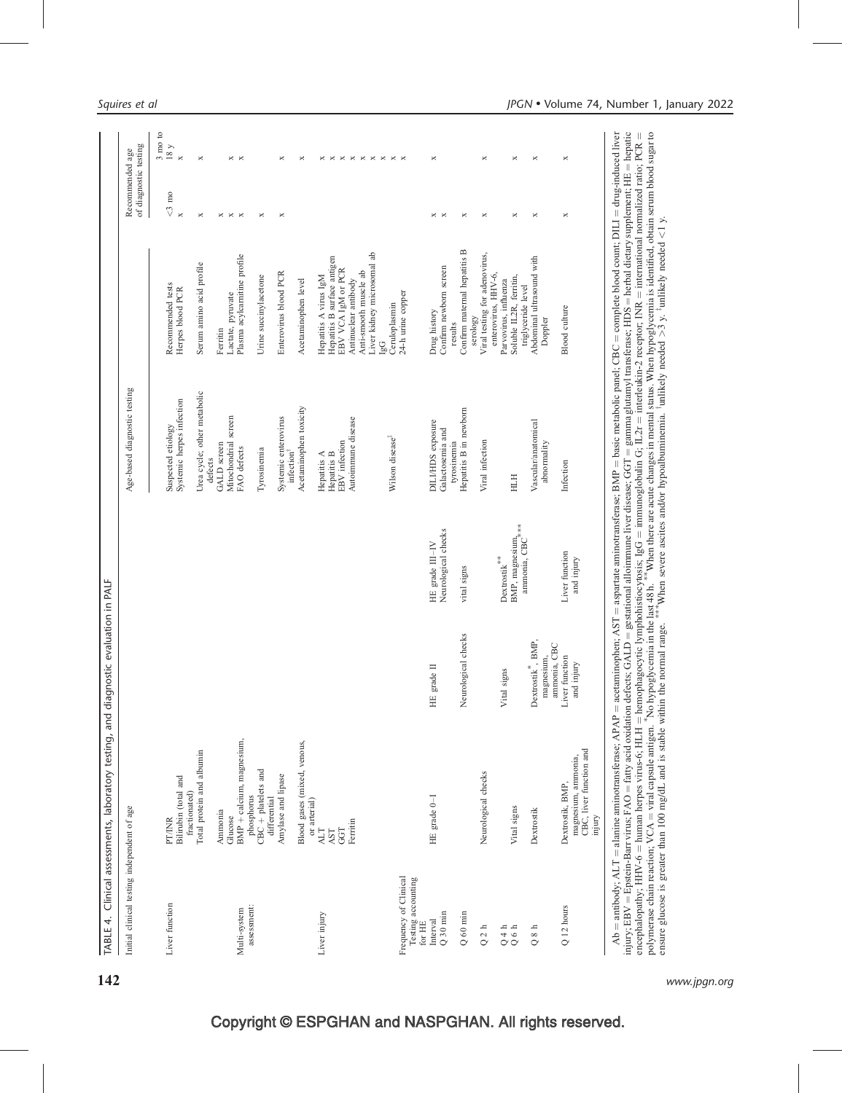| Initial clinical testing independent of age               |                                                                             |                                              |                                                                                                                                                                                         | Age-based diagnostic testing           |                                                      | Recommended age         | of diagnostic testing               |
|-----------------------------------------------------------|-----------------------------------------------------------------------------|----------------------------------------------|-----------------------------------------------------------------------------------------------------------------------------------------------------------------------------------------|----------------------------------------|------------------------------------------------------|-------------------------|-------------------------------------|
|                                                           |                                                                             |                                              |                                                                                                                                                                                         |                                        |                                                      |                         | $3 \text{ mo}$ to                   |
| Liver function                                            | <b>PT/INR</b>                                                               |                                              |                                                                                                                                                                                         | Suspected etiology                     | Recommended tests                                    | $<$ 3 mo $\,$           | $18\ \mathrm{y}$                    |
|                                                           | Bilirubin (total and<br>fractionated)                                       |                                              |                                                                                                                                                                                         | Systemic herpes infection              | Herpes blood PCR                                     | $\overline{\mathbf{x}}$ | $\times$                            |
|                                                           | Total protein and albumin                                                   |                                              |                                                                                                                                                                                         | Urea cycle; other metabolic<br>defects | Serum amino acid profile                             | ×                       | ×                                   |
|                                                           | Ammonia                                                                     |                                              |                                                                                                                                                                                         | GALD screen                            | Ferritin                                             | ×                       |                                     |
|                                                           | Glucose                                                                     |                                              |                                                                                                                                                                                         | Mitochondrial screen                   | Lactate, pyruvate                                    | $\Join$                 | $\times$ $\times$                   |
| assessment:<br>Multi-system                               | BMP + calcium, magnesium,                                                   |                                              |                                                                                                                                                                                         | FAO defects                            | Plasma acylcarnitine profile                         | $\Join$                 |                                     |
|                                                           | $CBC + platelets$ and<br>phosphorus<br>differential                         |                                              |                                                                                                                                                                                         | Tyrosinemia                            | Urine succinylacetone                                | ×                       |                                     |
|                                                           | Amylase and lipase                                                          |                                              |                                                                                                                                                                                         | Systemic enterovirus<br>infection      | Enterovirus blood PCR                                | $\Join$                 | ×                                   |
|                                                           | Blood gases (mixed, venous,                                                 |                                              |                                                                                                                                                                                         | Acetaminophen toxicity                 | Acetaminophen level                                  |                         | ×                                   |
| Liver injury                                              | or arterial)<br><b>ALT</b>                                                  |                                              |                                                                                                                                                                                         | Hepatitis A                            | Hepatitis A virus IgM                                |                         |                                     |
|                                                           | AST                                                                         |                                              |                                                                                                                                                                                         | Hepatitis B                            | Hepatitis B surface antigen                          |                         | $\times$ $\times$                   |
|                                                           | GGT                                                                         |                                              |                                                                                                                                                                                         | EBV infection                          | EBV VCA IgM or PCR                                   |                         |                                     |
|                                                           | Ferritin                                                                    |                                              |                                                                                                                                                                                         | Autoimmune disease                     | Anti-smooth muscle ab<br>Antinuclear antibody        |                         | $\times$ $\times$ $\times$ $\times$ |
|                                                           |                                                                             |                                              |                                                                                                                                                                                         |                                        | Liver kidney microsomal ab                           |                         |                                     |
|                                                           |                                                                             |                                              |                                                                                                                                                                                         |                                        | [gG                                                  |                         | $\,\times\,$                        |
|                                                           |                                                                             |                                              |                                                                                                                                                                                         | Wilson disease <sup>#</sup>            | Ceruloplasmin                                        |                         | $\times$ $\times$                   |
| Frequency of Clinical<br>Testing accounting<br>for $H\!E$ |                                                                             |                                              |                                                                                                                                                                                         |                                        | 24-h urine copper                                    |                         |                                     |
| Interval                                                  | HE grade 0-I                                                                | HE grade II                                  | HE grade III-IV                                                                                                                                                                         | DILI/HDS exposure                      | Drug history                                         |                         | ×                                   |
| $Q$ 30 min                                                |                                                                             |                                              | Neurological checks                                                                                                                                                                     | Galactosemia and                       | Confirm newborn screen                               | $\times$ $\times$       |                                     |
| $Q$ 60 min                                                |                                                                             | Neurological checks                          | vital signs                                                                                                                                                                             | Hepatitis B in newborn<br>tyrosinemia  | Confirm maternal hepatitis B<br>results              | $\Join$                 |                                     |
|                                                           |                                                                             |                                              |                                                                                                                                                                                         |                                        | serology                                             |                         |                                     |
| Q <sub>2 h</sub>                                          | Neurological checks                                                         |                                              |                                                                                                                                                                                         | Viral infection                        | Viral testing for adenovirus,<br>enterovirus, HHV-6, | $\Join$                 | ×                                   |
| $Q 4 h$<br>$Q 6 h$                                        |                                                                             | signs<br>Vital                               | Dextrostik                                                                                                                                                                              |                                        | Parvovirus, influenza                                |                         |                                     |
|                                                           | Vital signs                                                                 |                                              | $\text{BMP},$ magnesium, $\!\!{\begin{array}{c}\ast\\[-10pt]\scriptstyle{\times}\end{array}}\!\!$ ammonia, CBC $\!\!{\begin{array}{c}\ast\\[-10pt]\scriptstyle{\times}\end{array}}\!\!$ | HTH                                    | Soluble IL2R, ferritin,<br>triglyceride level        | $\Join$                 | ×                                   |
| $8\ \mathrm{h}$<br>$\circ$                                | Dextrostik                                                                  | Dextrostik <sup>*</sup> , BMP,<br>magnesium, |                                                                                                                                                                                         | Vascular/anatomical<br>abnormality     | Abdominal ultrasound with<br>Doppler                 | ×                       | ×                                   |
|                                                           |                                                                             | ammonia, CBC                                 |                                                                                                                                                                                         |                                        |                                                      |                         |                                     |
| $Q$ 12 hours                                              | CBC, liver function and<br>magnesium, ammonia,<br>Dextrostik, BMP<br>injury | Liver function<br>and injury                 | Liver function<br>and injury                                                                                                                                                            | Infection                              | <b>Blood</b> culture                                 | ×                       | ×                                   |

 $142$  www.jpgn.org www.jpgn.org

encephalopathy; HHV-6

polymerase chain reaction; VCA

human herpes virus-6; HLH

= viral capsule antigen.<sup>\*</sup>

ensure glucose is greater than 100 mg/dL and is stable within the normal range.  $*$ 

hemophagocytic lymphohistiocytosis; IgG

 $\ast$ 

No hypoglycemia in the last 48 h.<sup>\*</sup>

 $\frac{*}{*}$ 

 $=$  immunoglobulin G; IL2r

When severe ascites and/or hypoalbuminemia. <sup>†</sup>unlikely needed

interleukin-2 receptor; INR

When there are acute changes in mental status. When hypoglycemia is identified, obtain serum blood sugar to

 $>$ 3 y.  $\frac{1}{2}$  unlikely needed

 $\leq 1$  y.

international normalized ratio; PCR

 $\parallel$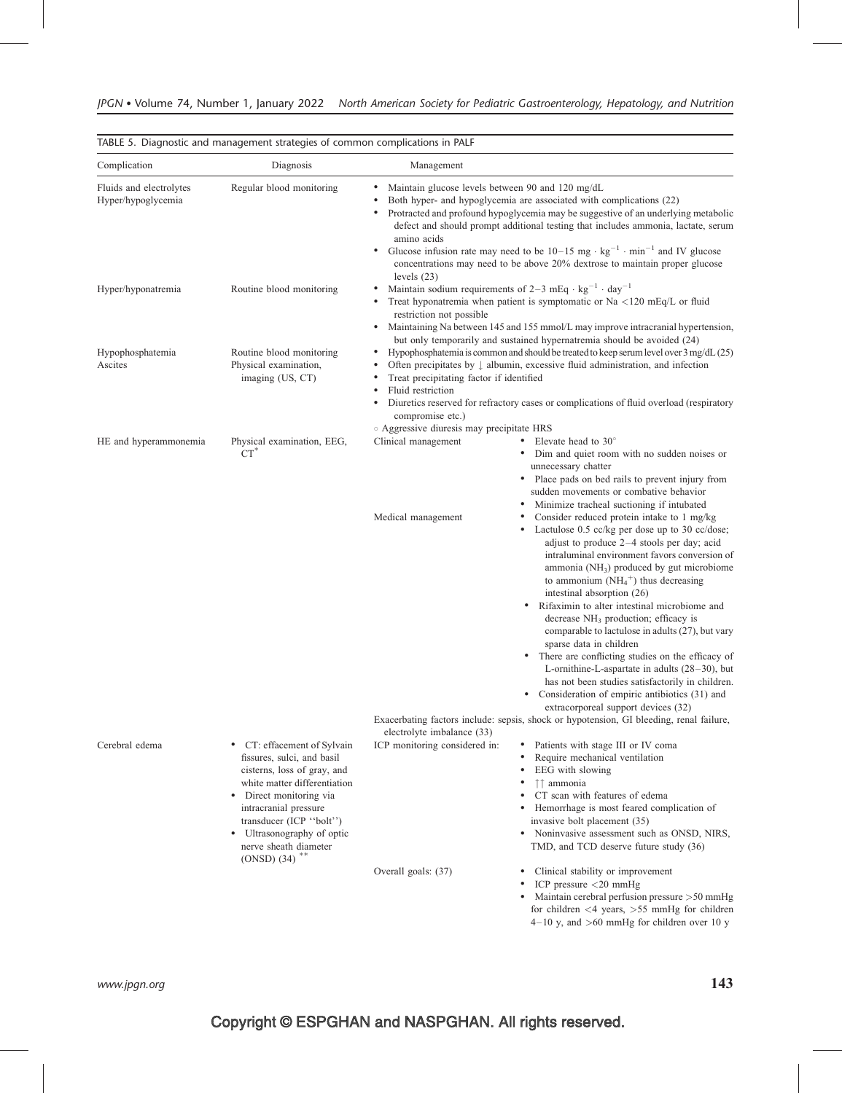| Complication                                  | Diagnosis                                                                                                                                                                                                                                                                                           | Management                                                                                                                                                                                                                                                                                                                                                                                                                                         |                                                                                                                                                                                                                                                                                                                                                                                                                                                                                                                                                                                                                                                                                                                                                                              |
|-----------------------------------------------|-----------------------------------------------------------------------------------------------------------------------------------------------------------------------------------------------------------------------------------------------------------------------------------------------------|----------------------------------------------------------------------------------------------------------------------------------------------------------------------------------------------------------------------------------------------------------------------------------------------------------------------------------------------------------------------------------------------------------------------------------------------------|------------------------------------------------------------------------------------------------------------------------------------------------------------------------------------------------------------------------------------------------------------------------------------------------------------------------------------------------------------------------------------------------------------------------------------------------------------------------------------------------------------------------------------------------------------------------------------------------------------------------------------------------------------------------------------------------------------------------------------------------------------------------------|
| Fluids and electrolytes<br>Hyper/hypoglycemia | Regular blood monitoring                                                                                                                                                                                                                                                                            | Maintain glucose levels between 90 and 120 mg/dL<br>٠<br>$\bullet$<br>amino acids<br>$\bullet$                                                                                                                                                                                                                                                                                                                                                     | Both hyper- and hypoglycemia are associated with complications (22)<br>Protracted and profound hypoglycemia may be suggestive of an underlying metabolic<br>defect and should prompt additional testing that includes ammonia, lactate, serum<br>Glucose infusion rate may need to be $10-15$ mg $\cdot$ kg <sup>-1</sup> $\cdot$ min <sup>-1</sup> and IV glucose<br>concentrations may need to be above 20% dextrose to maintain proper glucose                                                                                                                                                                                                                                                                                                                            |
| Hyper/hyponatremia                            | Routine blood monitoring                                                                                                                                                                                                                                                                            | levels $(23)$<br>٠<br>$\bullet$<br>restriction not possible<br>٠                                                                                                                                                                                                                                                                                                                                                                                   | Maintain sodium requirements of 2-3 mEq $\cdot$ kg <sup>-1</sup> $\cdot$ day <sup>-1</sup><br>Treat hyponatremia when patient is symptomatic or Na <120 mEq/L or fluid<br>Maintaining Na between 145 and 155 mmol/L may improve intracranial hypertension,<br>but only temporarily and sustained hypernatremia should be avoided (24)                                                                                                                                                                                                                                                                                                                                                                                                                                        |
| Hypophosphatemia<br>Ascites                   | Routine blood monitoring<br>Physical examination,<br>imaging (US, CT)                                                                                                                                                                                                                               | Hypophosphatemia is common and should be treated to keep serum level over 3 mg/dL (25)<br>٠<br>Often precipitates by $\downarrow$ albumin, excessive fluid administration, and infection<br>Treat precipitating factor if identified<br>$\bullet$<br>Fluid restriction<br>Diuretics reserved for refractory cases or complications of fluid overload (respiratory<br>٠<br>compromise etc.)<br><sup>o</sup> Aggressive diuresis may precipitate HRS |                                                                                                                                                                                                                                                                                                                                                                                                                                                                                                                                                                                                                                                                                                                                                                              |
| HE and hyperammonemia                         | Physical examination, EEG,<br>$CT^*$                                                                                                                                                                                                                                                                | Clinical management                                                                                                                                                                                                                                                                                                                                                                                                                                | Elevate head to $30^\circ$<br>Dim and quiet room with no sudden noises or<br>$\bullet$<br>unnecessary chatter<br>Place pads on bed rails to prevent injury from<br>٠<br>sudden movements or combative behavior<br>Minimize tracheal suctioning if intubated                                                                                                                                                                                                                                                                                                                                                                                                                                                                                                                  |
|                                               |                                                                                                                                                                                                                                                                                                     | Medical management                                                                                                                                                                                                                                                                                                                                                                                                                                 | Consider reduced protein intake to 1 mg/kg<br>Lactulose 0.5 cc/kg per dose up to 30 cc/dose;<br>adjust to produce $2-4$ stools per day; acid<br>intraluminal environment favors conversion of<br>ammonia ( $NH3$ ) produced by gut microbiome<br>to ammonium $(NH_4^+)$ thus decreasing<br>intestinal absorption (26)<br>Rifaximin to alter intestinal microbiome and<br>٠<br>decrease NH <sub>3</sub> production; efficacy is<br>comparable to lactulose in adults (27), but vary<br>sparse data in children<br>There are conflicting studies on the efficacy of<br>٠<br>L-ornithine-L-aspartate in adults $(28-30)$ , but<br>has not been studies satisfactorily in children.<br>Consideration of empiric antibiotics (31) and<br>٠<br>extracorporeal support devices (32) |
|                                               |                                                                                                                                                                                                                                                                                                     | electrolyte imbalance (33)                                                                                                                                                                                                                                                                                                                                                                                                                         | Exacerbating factors include: sepsis, shock or hypotension, GI bleeding, renal failure,                                                                                                                                                                                                                                                                                                                                                                                                                                                                                                                                                                                                                                                                                      |
| Cerebral edema                                | CT: effacement of Sylvain<br>٠<br>fissures, sulci, and basil<br>cisterns, loss of gray, and<br>white matter differentiation<br>Direct monitoring via<br>٠<br>intracranial pressure<br>transducer (ICP "bolt")<br>• Ultrasonography of optic<br>nerve sheath diameter<br>$(ONSD)$ (34) <sup>**</sup> | ICP monitoring considered in:                                                                                                                                                                                                                                                                                                                                                                                                                      | Patients with stage III or IV coma<br>Require mechanical ventilation<br>٠<br>EEG with slowing<br>↑↑ ammonia<br>CT scan with features of edema<br>Hemorrhage is most feared complication of<br>invasive bolt placement (35)<br>Noninvasive assessment such as ONSD, NIRS,<br>٠<br>TMD, and TCD deserve future study (36)                                                                                                                                                                                                                                                                                                                                                                                                                                                      |
|                                               |                                                                                                                                                                                                                                                                                                     | Overall goals: (37)                                                                                                                                                                                                                                                                                                                                                                                                                                | Clinical stability or improvement<br>٠<br>ICP pressure <20 mmHg<br>Maintain cerebral perfusion pressure >50 mmHg<br>for children $<$ 4 years, $>$ 55 mmHg for children                                                                                                                                                                                                                                                                                                                                                                                                                                                                                                                                                                                                       |

 $4-10$  y, and  $>60$  mmHg for children over 10 y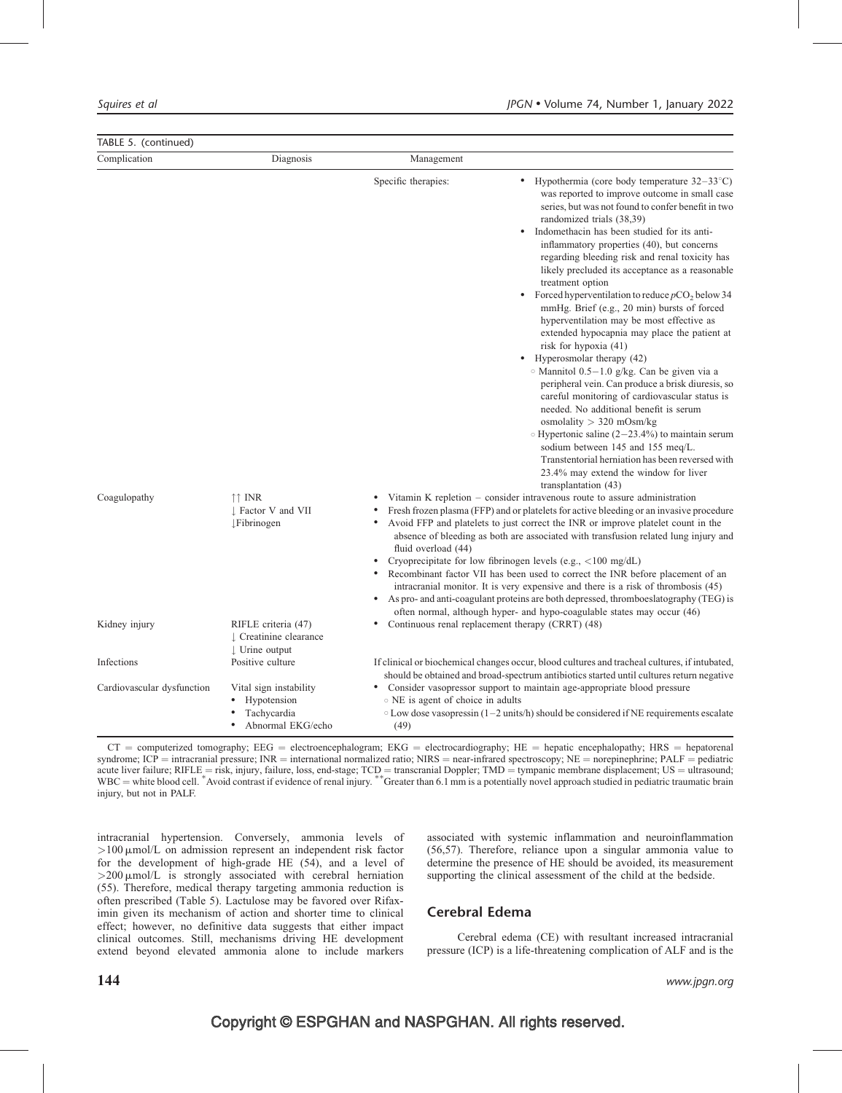| TABLE 5. (continued)       |                                                                            |                                                                                                                                                                                                                                                                                                                                                                                                                                                                                                                                                                                                                                                                                                                                                                                                                                                                                                                                                                                                                                                                                                                                                                       |  |
|----------------------------|----------------------------------------------------------------------------|-----------------------------------------------------------------------------------------------------------------------------------------------------------------------------------------------------------------------------------------------------------------------------------------------------------------------------------------------------------------------------------------------------------------------------------------------------------------------------------------------------------------------------------------------------------------------------------------------------------------------------------------------------------------------------------------------------------------------------------------------------------------------------------------------------------------------------------------------------------------------------------------------------------------------------------------------------------------------------------------------------------------------------------------------------------------------------------------------------------------------------------------------------------------------|--|
| Complication               | Diagnosis                                                                  | Management                                                                                                                                                                                                                                                                                                                                                                                                                                                                                                                                                                                                                                                                                                                                                                                                                                                                                                                                                                                                                                                                                                                                                            |  |
|                            |                                                                            | Specific therapies:<br>Hypothermia (core body temperature $32-33^{\circ}$ C)<br>was reported to improve outcome in small case<br>series, but was not found to confer benefit in two<br>randomized trials (38,39)<br>Indomethacin has been studied for its anti-<br>$\bullet$<br>inflammatory properties (40), but concerns<br>regarding bleeding risk and renal toxicity has<br>likely precluded its acceptance as a reasonable<br>treatment option<br>Forced hyperventilation to reduce $pCO2$ below 34<br>$\bullet$<br>mmHg. Brief (e.g., 20 min) bursts of forced<br>hyperventilation may be most effective as<br>extended hypocapnia may place the patient at<br>risk for hypoxia $(41)$<br>Hyperosmolar therapy (42)<br>$\bullet$<br>$\circ$ Mannitol 0.5-1.0 g/kg. Can be given via a<br>peripheral vein. Can produce a brisk diuresis, so<br>careful monitoring of cardiovascular status is<br>needed. No additional benefit is serum<br>osmolality $> 320$ mOsm/kg<br>$\circ$ Hypertonic saline (2–23.4%) to maintain serum<br>sodium between 145 and 155 meq/L.<br>Transtentorial herniation has been reversed with<br>23.4% may extend the window for liver |  |
| Coagulopathy               | $\uparrow \uparrow$ INR<br>Factor V and VII<br><b>Fibrinogen</b>           | transplantation (43)<br>Vitamin K repletion – consider intravenous route to assure administration<br>Fresh frozen plasma (FFP) and or platelets for active bleeding or an invasive procedure<br>Avoid FFP and platelets to just correct the INR or improve platelet count in the<br>absence of bleeding as both are associated with transfusion related lung injury and<br>fluid overload (44)<br>Cryoprecipitate for low fibrinogen levels (e.g., <100 mg/dL)<br>Recombinant factor VII has been used to correct the INR before placement of an<br>$\bullet$<br>intracranial monitor. It is very expensive and there is a risk of thrombosis (45)<br>As pro- and anti-coagulant proteins are both depressed, thromboes atography (TEG) is<br>$\bullet$<br>often normal, although hyper- and hypo-coagulable states may occur (46)                                                                                                                                                                                                                                                                                                                                    |  |
| Kidney injury              | RIFLE criteria (47)<br>L Creatinine clearance<br>$\downarrow$ Urine output | Continuous renal replacement therapy (CRRT) (48)<br>$\bullet$                                                                                                                                                                                                                                                                                                                                                                                                                                                                                                                                                                                                                                                                                                                                                                                                                                                                                                                                                                                                                                                                                                         |  |
| Infections                 | Positive culture                                                           | If clinical or biochemical changes occur, blood cultures and tracheal cultures, if intubated,<br>should be obtained and broad-spectrum antibiotics started until cultures return negative                                                                                                                                                                                                                                                                                                                                                                                                                                                                                                                                                                                                                                                                                                                                                                                                                                                                                                                                                                             |  |
| Cardiovascular dysfunction | Vital sign instability<br>Hypotension<br>Tachycardia<br>Abnormal EKG/echo  | • Consider vasopressor support to maintain age-appropriate blood pressure<br>○ NE is agent of choice in adults<br>$\circ$ Low dose vasopressin (1–2 units/h) should be considered if NE requirements escalate<br>(49)                                                                                                                                                                                                                                                                                                                                                                                                                                                                                                                                                                                                                                                                                                                                                                                                                                                                                                                                                 |  |

 $CT =$  computerized tomography;  $EEG =$  electroencephalogram;  $EKG =$  electrocardiography;  $HE =$  hepatic encephalopathy;  $HRS =$  hepatorenal syndrome; ICP = intracranial pressure; INR = international normalized ratio; NIRS = near-infrared spectroscopy; NE = norepinephrine; PALF = pediatric acute liver failure; RIFLE = risk, injury, failure, loss, end-stage; TCD = transcranial Doppler; TMD = tympanic membrane displacement; US = ultrasound; WBC = white blood cell.  $*$  Avoid contrast if evidence of renal injury.  $**$  Greater than 6.1 mm is a potentially novel approach studied in pediatric traumatic brain WBC = white blood cell.  $*$  Avoid contrast if evidence injury, but not in PALF.

intracranial hypertension. Conversely, ammonia levels of  $>100 \mu$ mol/L on admission represent an independent risk factor for the development of high-grade HE (54), and a level of  $>$ 200  $\mu$ mol/L is strongly associated with cerebral herniation (55). Therefore, medical therapy targeting ammonia reduction is often prescribed (Table 5). Lactulose may be favored over Rifaximin given its mechanism of action and shorter time to clinical effect; however, no definitive data suggests that either impact clinical outcomes. Still, mechanisms driving HE development extend beyond elevated ammonia alone to include markers associated with systemic inflammation and neuroinflammation (56,57). Therefore, reliance upon a singular ammonia value to determine the presence of HE should be avoided, its measurement supporting the clinical assessment of the child at the bedside.

# Cerebral Edema

Cerebral edema (CE) with resultant increased intracranial pressure (ICP) is a life-threatening complication of ALF and is the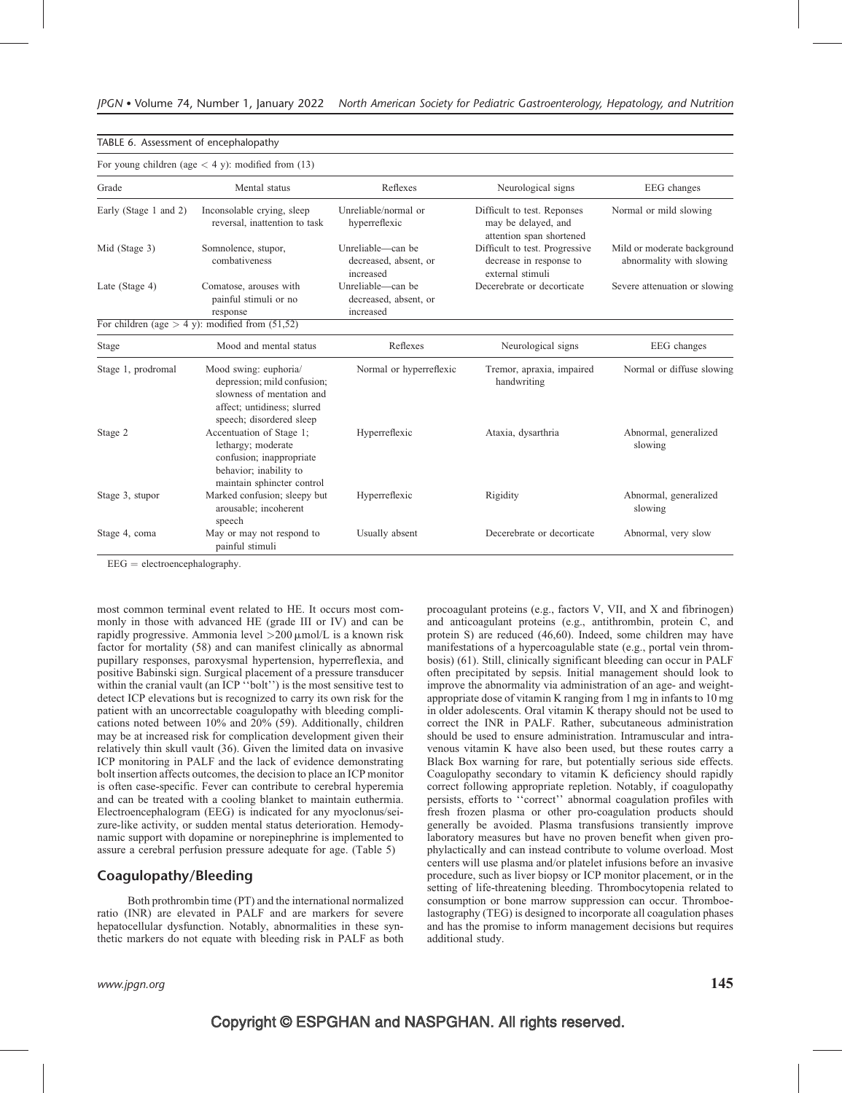|                       | For young children (age $<$ 4 y): modified from (13)                                                                                         |                                                         |                                                                                |                                                         |
|-----------------------|----------------------------------------------------------------------------------------------------------------------------------------------|---------------------------------------------------------|--------------------------------------------------------------------------------|---------------------------------------------------------|
| Grade                 | Mental status                                                                                                                                | Reflexes                                                | Neurological signs                                                             | EEG changes                                             |
| Early (Stage 1 and 2) | Inconsolable crying, sleep<br>reversal, inattention to task                                                                                  | Unreliable/normal or<br>hyperreflexic                   | Difficult to test. Reponses<br>may be delayed, and<br>attention span shortened | Normal or mild slowing                                  |
| Mid (Stage 3)         | Somnolence, stupor,<br>combativeness                                                                                                         | Unreliable—can be<br>decreased, absent, or<br>increased | Difficult to test. Progressive<br>decrease in response to<br>external stimuli  | Mild or moderate background<br>abnormality with slowing |
| Late (Stage 4)        | Comatose, arouses with<br>painful stimuli or no<br>response                                                                                  | Unreliable—can be<br>decreased, absent, or<br>increased | Decerebrate or decorticate                                                     | Severe attenuation or slowing                           |
|                       | For children (age $> 4$ y): modified from (51,52)                                                                                            |                                                         |                                                                                |                                                         |
| Stage                 | Mood and mental status                                                                                                                       | Reflexes                                                | Neurological signs                                                             | EEG changes                                             |
| Stage 1, prodromal    | Mood swing: euphoria/<br>depression; mild confusion;<br>slowness of mentation and<br>affect; untidiness; slurred<br>speech; disordered sleep | Normal or hyperreflexic                                 | Tremor, apraxia, impaired<br>handwriting                                       | Normal or diffuse slowing                               |
| Stage 2               | Accentuation of Stage 1;<br>lethargy; moderate<br>confusion; inappropriate<br>behavior; inability to<br>maintain sphincter control           | Hyperreflexic                                           | Ataxia, dysarthria                                                             | Abnormal, generalized<br>slowing                        |
| Stage 3, stupor       | Marked confusion; sleepy but<br>arousable; incoherent<br>speech                                                                              | Hyperreflexic                                           | Rigidity                                                                       | Abnormal, generalized<br>slowing                        |
| Stage 4, coma         | May or may not respond to<br>painful stimuli                                                                                                 | Usually absent                                          | Decerebrate or decorticate                                                     | Abnormal, very slow                                     |

 $EEG = electroencephalography.$ 

TABLE 6. Assessment of encephalopathy

most common terminal event related to HE. It occurs most commonly in those with advanced HE (grade III or IV) and can be rapidly progressive. Ammonia level  $>200 \mu$ mol/L is a known risk factor for mortality (58) and can manifest clinically as abnormal pupillary responses, paroxysmal hypertension, hyperreflexia, and positive Babinski sign. Surgical placement of a pressure transducer within the cranial vault (an ICP "bolt") is the most sensitive test to detect ICP elevations but is recognized to carry its own risk for the patient with an uncorrectable coagulopathy with bleeding complications noted between 10% and 20% (59). Additionally, children may be at increased risk for complication development given their relatively thin skull vault (36). Given the limited data on invasive ICP monitoring in PALF and the lack of evidence demonstrating bolt insertion affects outcomes, the decision to place an ICP monitor is often case-specific. Fever can contribute to cerebral hyperemia and can be treated with a cooling blanket to maintain euthermia. Electroencephalogram (EEG) is indicated for any myoclonus/seizure-like activity, or sudden mental status deterioration. Hemodynamic support with dopamine or norepinephrine is implemented to assure a cerebral perfusion pressure adequate for age. (Table 5)

#### Coagulopathy/Bleeding

Both prothrombin time (PT) and the international normalized ratio (INR) are elevated in PALF and are markers for severe hepatocellular dysfunction. Notably, abnormalities in these synthetic markers do not equate with bleeding risk in PALF as both procoagulant proteins (e.g., factors V, VII, and X and fibrinogen) and anticoagulant proteins (e.g., antithrombin, protein C, and protein S) are reduced (46,60). Indeed, some children may have manifestations of a hypercoagulable state (e.g., portal vein thrombosis) (61). Still, clinically significant bleeding can occur in PALF often precipitated by sepsis. Initial management should look to improve the abnormality via administration of an age- and weightappropriate dose of vitamin K ranging from 1 mg in infants to 10 mg in older adolescents. Oral vitamin K therapy should not be used to correct the INR in PALF. Rather, subcutaneous administration should be used to ensure administration. Intramuscular and intravenous vitamin K have also been used, but these routes carry a Black Box warning for rare, but potentially serious side effects. Coagulopathy secondary to vitamin K deficiency should rapidly correct following appropriate repletion. Notably, if coagulopathy persists, efforts to ''correct'' abnormal coagulation profiles with fresh frozen plasma or other pro-coagulation products should generally be avoided. Plasma transfusions transiently improve laboratory measures but have no proven benefit when given prophylactically and can instead contribute to volume overload. Most centers will use plasma and/or platelet infusions before an invasive procedure, such as liver biopsy or ICP monitor placement, or in the setting of life-threatening bleeding. Thrombocytopenia related to consumption or bone marrow suppression can occur. Thromboelastography (TEG) is designed to incorporate all coagulation phases and has the promise to inform management decisions but requires additional study.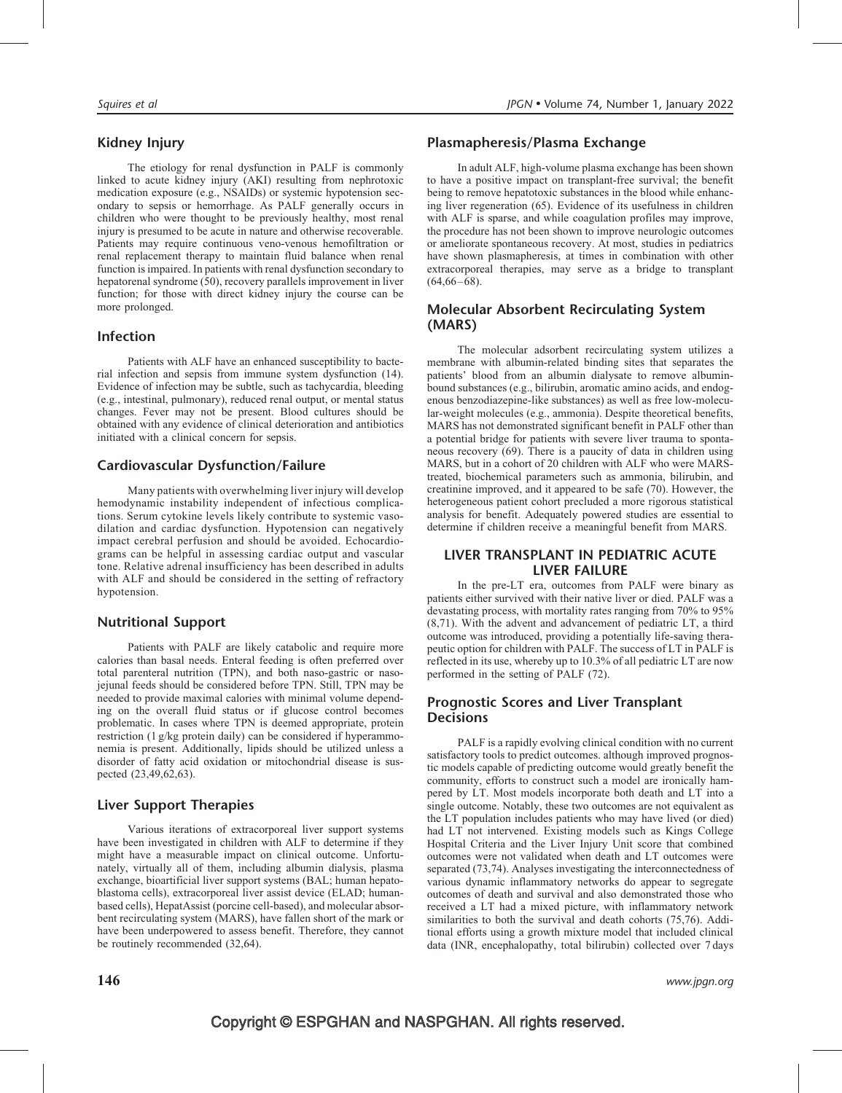# Kidney Injury

The etiology for renal dysfunction in PALF is commonly linked to acute kidney injury (AKI) resulting from nephrotoxic medication exposure (e.g., NSAIDs) or systemic hypotension secondary to sepsis or hemorrhage. As PALF generally occurs in children who were thought to be previously healthy, most renal injury is presumed to be acute in nature and otherwise recoverable. Patients may require continuous veno-venous hemofiltration or renal replacement therapy to maintain fluid balance when renal function is impaired. In patients with renal dysfunction secondary to hepatorenal syndrome (50), recovery parallels improvement in liver function; for those with direct kidney injury the course can be more prolonged.

### Infection

Patients with ALF have an enhanced susceptibility to bacterial infection and sepsis from immune system dysfunction (14). Evidence of infection may be subtle, such as tachycardia, bleeding (e.g., intestinal, pulmonary), reduced renal output, or mental status changes. Fever may not be present. Blood cultures should be obtained with any evidence of clinical deterioration and antibiotics initiated with a clinical concern for sepsis.

# Cardiovascular Dysfunction/Failure

Many patients with overwhelming liver injury will develop hemodynamic instability independent of infectious complications. Serum cytokine levels likely contribute to systemic vasodilation and cardiac dysfunction. Hypotension can negatively impact cerebral perfusion and should be avoided. Echocardiograms can be helpful in assessing cardiac output and vascular tone. Relative adrenal insufficiency has been described in adults with ALF and should be considered in the setting of refractory hypotension.

# Nutritional Support

Patients with PALF are likely catabolic and require more calories than basal needs. Enteral feeding is often preferred over total parenteral nutrition (TPN), and both naso-gastric or nasojejunal feeds should be considered before TPN. Still, TPN may be needed to provide maximal calories with minimal volume depending on the overall fluid status or if glucose control becomes problematic. In cases where TPN is deemed appropriate, protein restriction (1 g/kg protein daily) can be considered if hyperammonemia is present. Additionally, lipids should be utilized unless a disorder of fatty acid oxidation or mitochondrial disease is suspected (23,49,62,63).

# Liver Support Therapies

Various iterations of extracorporeal liver support systems have been investigated in children with ALF to determine if they might have a measurable impact on clinical outcome. Unfortunately, virtually all of them, including albumin dialysis, plasma exchange, bioartificial liver support systems (BAL; human hepatoblastoma cells), extracorporeal liver assist device (ELAD; humanbased cells), HepatAssist (porcine cell-based), and molecular absorbent recirculating system (MARS), have fallen short of the mark or have been underpowered to assess benefit. Therefore, they cannot be routinely recommended (32,64).

In adult ALF, high-volume plasma exchange has been shown to have a positive impact on transplant-free survival; the benefit being to remove hepatotoxic substances in the blood while enhancing liver regeneration (65). Evidence of its usefulness in children with ALF is sparse, and while coagulation profiles may improve, the procedure has not been shown to improve neurologic outcomes or ameliorate spontaneous recovery. At most, studies in pediatrics have shown plasmapheresis, at times in combination with other extracorporeal therapies, may serve as a bridge to transplant  $(64,66-68)$ .

# Molecular Absorbent Recirculating System (MARS)

The molecular adsorbent recirculating system utilizes a membrane with albumin-related binding sites that separates the patients' blood from an albumin dialysate to remove albuminbound substances (e.g., bilirubin, aromatic amino acids, and endogenous benzodiazepine-like substances) as well as free low-molecular-weight molecules (e.g., ammonia). Despite theoretical benefits, MARS has not demonstrated significant benefit in PALF other than a potential bridge for patients with severe liver trauma to spontaneous recovery (69). There is a paucity of data in children using MARS, but in a cohort of 20 children with ALF who were MARStreated, biochemical parameters such as ammonia, bilirubin, and creatinine improved, and it appeared to be safe (70). However, the heterogeneous patient cohort precluded a more rigorous statistical analysis for benefit. Adequately powered studies are essential to determine if children receive a meaningful benefit from MARS.

#### LIVER TRANSPLANT IN PEDIATRIC ACUTE LIVER FAILURE

In the pre-LT era, outcomes from PALF were binary as patients either survived with their native liver or died. PALF was a devastating process, with mortality rates ranging from 70% to 95% (8,71). With the advent and advancement of pediatric LT, a third outcome was introduced, providing a potentially life-saving therapeutic option for children with PALF. The success of LT in PALF is reflected in its use, whereby up to 10.3% of all pediatric LT are now performed in the setting of PALF (72).

# Prognostic Scores and Liver Transplant **Decisions**

PALF is a rapidly evolving clinical condition with no current satisfactory tools to predict outcomes. although improved prognostic models capable of predicting outcome would greatly benefit the community, efforts to construct such a model are ironically hampered by LT. Most models incorporate both death and LT into a single outcome. Notably, these two outcomes are not equivalent as the LT population includes patients who may have lived (or died) had LT not intervened. Existing models such as Kings College Hospital Criteria and the Liver Injury Unit score that combined outcomes were not validated when death and LT outcomes were separated (73,74). Analyses investigating the interconnectedness of various dynamic inflammatory networks do appear to segregate outcomes of death and survival and also demonstrated those who received a LT had a mixed picture, with inflammatory network similarities to both the survival and death cohorts (75,76). Additional efforts using a growth mixture model that included clinical data (INR, encephalopathy, total bilirubin) collected over 7 days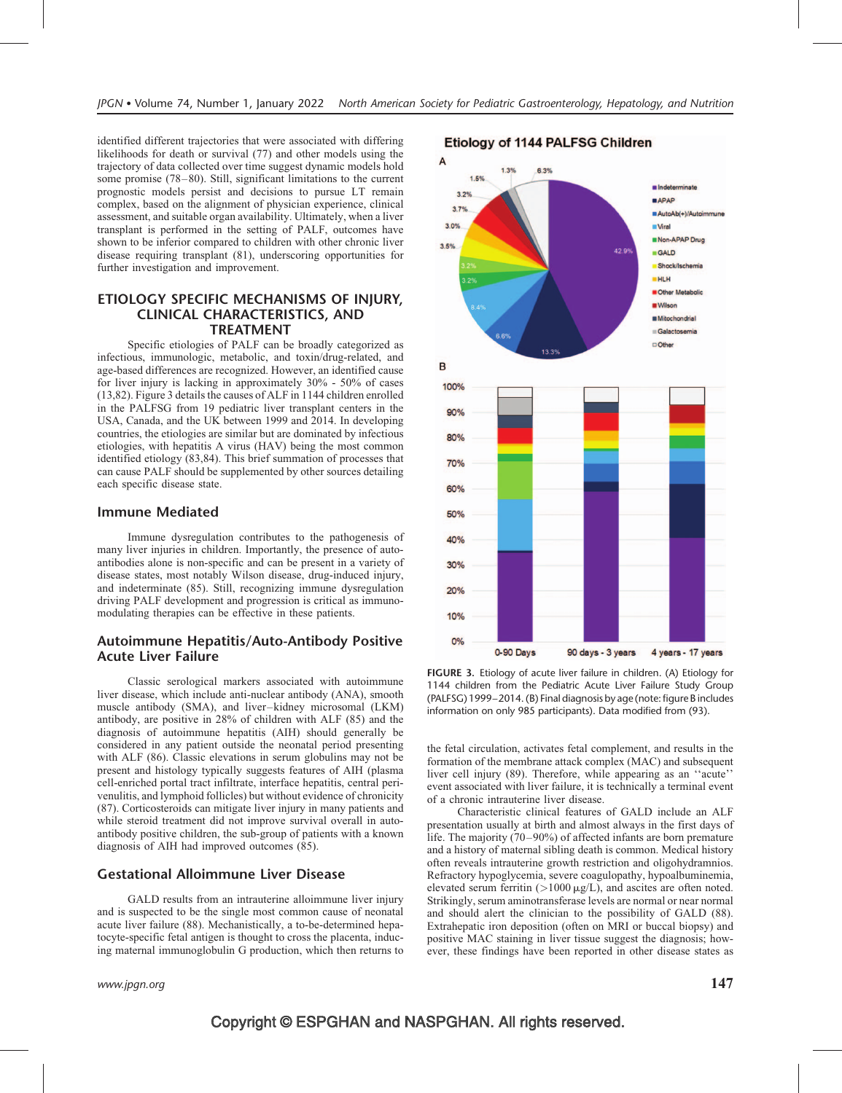identified different trajectories that were associated with differing likelihoods for death or survival (77) and other models using the trajectory of data collected over time suggest dynamic models hold some promise (78–80). Still, significant limitations to the current prognostic models persist and decisions to pursue LT remain complex, based on the alignment of physician experience, clinical assessment, and suitable organ availability. Ultimately, when a liver transplant is performed in the setting of PALF, outcomes have shown to be inferior compared to children with other chronic liver disease requiring transplant (81), underscoring opportunities for further investigation and improvement.

#### ETIOLOGY SPECIFIC MECHANISMS OF INJURY, CLINICAL CHARACTERISTICS, AND TREATMENT

Specific etiologies of PALF can be broadly categorized as infectious, immunologic, metabolic, and toxin/drug-related, and age-based differences are recognized. However, an identified cause for liver injury is lacking in approximately 30% - 50% of cases (13,82). Figure 3 details the causes of ALF in 1144 children enrolled in the PALFSG from 19 pediatric liver transplant centers in the USA, Canada, and the UK between 1999 and 2014. In developing countries, the etiologies are similar but are dominated by infectious etiologies, with hepatitis A virus (HAV) being the most common identified etiology (83,84). This brief summation of processes that can cause PALF should be supplemented by other sources detailing each specific disease state.

#### Immune Mediated

Immune dysregulation contributes to the pathogenesis of many liver injuries in children. Importantly, the presence of autoantibodies alone is non-specific and can be present in a variety of disease states, most notably Wilson disease, drug-induced injury, and indeterminate (85). Still, recognizing immune dysregulation driving PALF development and progression is critical as immunomodulating therapies can be effective in these patients.

#### Autoimmune Hepatitis/Auto-Antibody Positive Acute Liver Failure

Classic serological markers associated with autoimmune liver disease, which include anti-nuclear antibody (ANA), smooth muscle antibody (SMA), and liver–kidney microsomal (LKM) antibody, are positive in 28% of children with ALF (85) and the diagnosis of autoimmune hepatitis (AIH) should generally be considered in any patient outside the neonatal period presenting with ALF (86). Classic elevations in serum globulins may not be present and histology typically suggests features of AIH (plasma cell-enriched portal tract infiltrate, interface hepatitis, central perivenulitis, and lymphoid follicles) but without evidence of chronicity (87). Corticosteroids can mitigate liver injury in many patients and while steroid treatment did not improve survival overall in autoantibody positive children, the sub-group of patients with a known diagnosis of AIH had improved outcomes (85).

#### Gestational Alloimmune Liver Disease

GALD results from an intrauterine alloimmune liver injury and is suspected to be the single most common cause of neonatal acute liver failure (88). Mechanistically, a to-be-determined hepatocyte-specific fetal antigen is thought to cross the placenta, inducing maternal immunoglobulin G production, which then returns to



FIGURE 3. Etiology of acute liver failure in children. (A) Etiology for 1144 children from the Pediatric Acute Liver Failure Study Group (PALFSG) 1999–2014. (B) Final diagnosis by age (note: figure B includes information on only 985 participants). Data modified from (93).

the fetal circulation, activates fetal complement, and results in the formation of the membrane attack complex (MAC) and subsequent liver cell injury (89). Therefore, while appearing as an ''acute'' event associated with liver failure, it is technically a terminal event of a chronic intrauterine liver disease.

Characteristic clinical features of GALD include an ALF presentation usually at birth and almost always in the first days of life. The majority (70–90%) of affected infants are born premature and a history of maternal sibling death is common. Medical history often reveals intrauterine growth restriction and oligohydramnios. Refractory hypoglycemia, severe coagulopathy, hypoalbuminemia, elevated serum ferritin  $(>1000 \,\mu g/L)$ , and ascites are often noted. Strikingly, serum aminotransferase levels are normal or near normal and should alert the clinician to the possibility of GALD (88). Extrahepatic iron deposition (often on MRI or buccal biopsy) and positive MAC staining in liver tissue suggest the diagnosis; however, these findings have been reported in other disease states as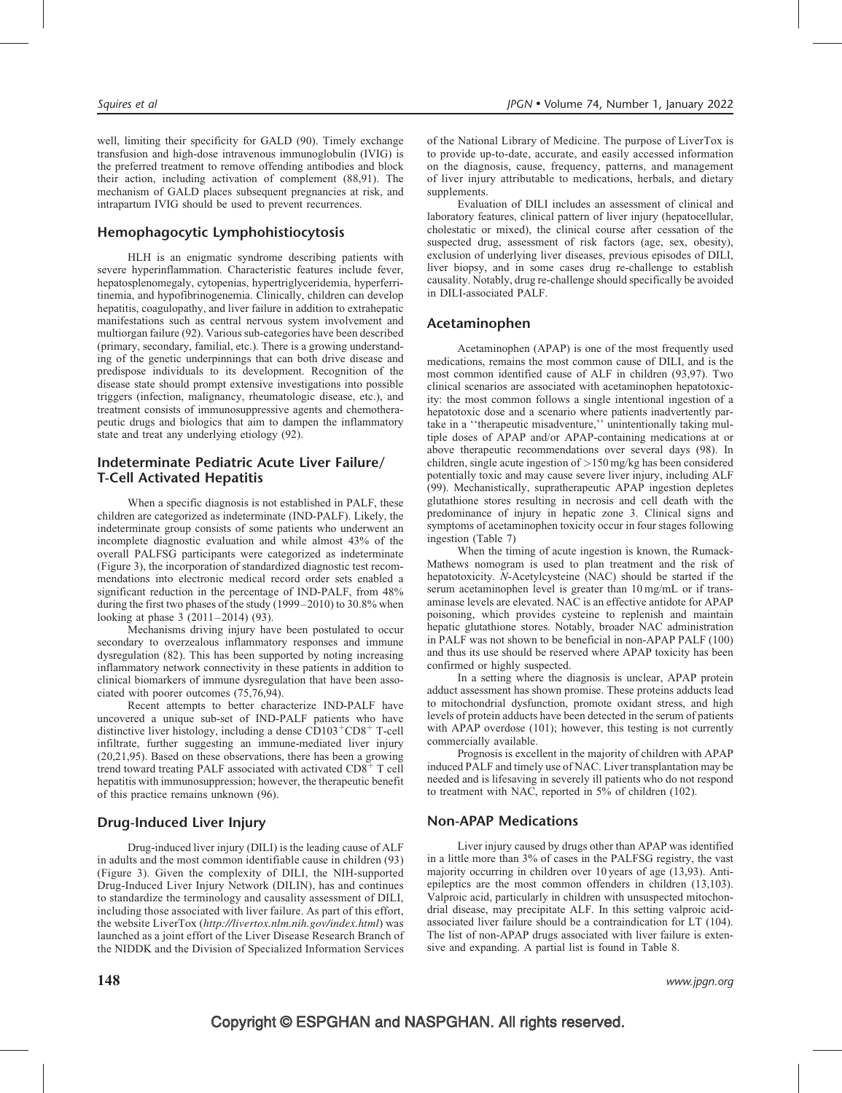well, limiting their specificity for GALD (90). Timely exchange transfusion and high-dose intravenous immunoglobulin (IVIG) is the preferred treatment to remove offending antibodies and block their action, including activation of complement (88,91). The mechanism of GALD places subsequent pregnancies at risk, and intrapartum IVIG should be used to prevent recurrences.

#### Hemophagocytic Lymphohistiocytosis

HLH is an enigmatic syndrome describing patients with severe hyperinflammation. Characteristic features include fever, hepatosplenomegaly, cytopenias, hypertriglyceridemia, hyperferritinemia, and hypofibrinogenemia. Clinically, children can develop hepatitis, coagulopathy, and liver failure in addition to extrahepatic manifestations such as central nervous system involvement and multiorgan failure (92). Various sub-categories have been described (primary, secondary, familial, etc.). There is a growing understanding of the genetic underpinnings that can both drive disease and predispose individuals to its development. Recognition of the disease state should prompt extensive investigations into possible triggers (infection, malignancy, rheumatologic disease, etc.), and treatment consists of immunosuppressive agents and chemotherapeutic drugs and biologics that aim to dampen the inflammatory state and treat any underlying etiology (92).

#### Indeterminate Pediatric Acute Liver Failure/ T-Cell Activated Hepatitis

When a specific diagnosis is not established in PALF, these children are categorized as indeterminate (IND-PALF). Likely, the indeterminate group consists of some patients who underwent an incomplete diagnostic evaluation and while almost 43% of the overall PALFSG participants were categorized as indeterminate (Figure 3), the incorporation of standardized diagnostic test recommendations into electronic medical record order sets enabled a significant reduction in the percentage of IND-PALF, from 48% during the first two phases of the study (1999–2010) to 30.8% when looking at phase 3 (2011–2014) (93).

Mechanisms driving injury have been postulated to occur secondary to overzealous inflammatory responses and immune dysregulation (82). This has been supported by noting increasing inflammatory network connectivity in these patients in addition to clinical biomarkers of immune dysregulation that have been associated with poorer outcomes (75,76,94).

Recent attempts to better characterize IND-PALF have uncovered a unique sub-set of IND-PALF patients who have distinctive liver histology, including a dense  $CD103^+CD8^+$  T-cell infiltrate, further suggesting an immune-mediated liver injury (20,21,95). Based on these observations, there has been a growing trend toward treating PALF associated with activated  $CD8<sup>+</sup>$  T cell hepatitis with immunosuppression; however, the therapeutic benefit of this practice remains unknown (96).

#### Drug-Induced Liver Injury

Drug-induced liver injury (DILI) is the leading cause of ALF in adults and the most common identifiable cause in children (93) (Figure 3). Given the complexity of DILI, the NIH-supported Drug-Induced Liver Injury Network (DILIN), has and continues to standardize the terminology and causality assessment of DILI, including those associated with liver failure. As part of this effort, the website LiverTox (<http://livertox.nlm.nih.gov/index.html>) was launched as a joint effort of the Liver Disease Research Branch of the NIDDK and the Division of Specialized Information Services

of the National Library of Medicine. The purpose of LiverTox is to provide up-to-date, accurate, and easily accessed information on the diagnosis, cause, frequency, patterns, and management of liver injury attributable to medications, herbals, and dietary supplements.

Evaluation of DILI includes an assessment of clinical and laboratory features, clinical pattern of liver injury (hepatocellular, cholestatic or mixed), the clinical course after cessation of the suspected drug, assessment of risk factors (age, sex, obesity), exclusion of underlying liver diseases, previous episodes of DILI, liver biopsy, and in some cases drug re-challenge to establish causality. Notably, drug re-challenge should specifically be avoided in DILI-associated PALF.

#### Acetaminophen

Acetaminophen (APAP) is one of the most frequently used medications, remains the most common cause of DILI, and is the most common identified cause of ALF in children (93,97). Two clinical scenarios are associated with acetaminophen hepatotoxicity: the most common follows a single intentional ingestion of a hepatotoxic dose and a scenario where patients inadvertently partake in a ''therapeutic misadventure,'' unintentionally taking multiple doses of APAP and/or APAP-containing medications at or above therapeutic recommendations over several days (98). In children, single acute ingestion of >150 mg/kg has been considered potentially toxic and may cause severe liver injury, including ALF (99). Mechanistically, supratherapeutic APAP ingestion depletes glutathione stores resulting in necrosis and cell death with the predominance of injury in hepatic zone 3. Clinical signs and symptoms of acetaminophen toxicity occur in four stages following ingestion (Table 7)

When the timing of acute ingestion is known, the Rumack-Mathews nomogram is used to plan treatment and the risk of hepatotoxicity. N-Acetylcysteine (NAC) should be started if the serum acetaminophen level is greater than 10 mg/mL or if transaminase levels are elevated. NAC is an effective antidote for APAP poisoning, which provides cysteine to replenish and maintain hepatic glutathione stores. Notably, broader NAC administration in PALF was not shown to be beneficial in non-APAP PALF (100) and thus its use should be reserved where APAP toxicity has been confirmed or highly suspected.

In a setting where the diagnosis is unclear, APAP protein adduct assessment has shown promise. These proteins adducts lead to mitochondrial dysfunction, promote oxidant stress, and high levels of protein adducts have been detected in the serum of patients with APAP overdose (101); however, this testing is not currently commercially available.

Prognosis is excellent in the majority of children with APAP induced PALF and timely use of NAC. Liver transplantation may be needed and is lifesaving in severely ill patients who do not respond to treatment with NAC, reported in 5% of children (102).

#### Non-APAP Medications

Liver injury caused by drugs other than APAP was identified in a little more than 3% of cases in the PALFSG registry, the vast majority occurring in children over 10 years of age (13,93). Antiepileptics are the most common offenders in children (13,103). Valproic acid, particularly in children with unsuspected mitochondrial disease, may precipitate ALF. In this setting valproic acidassociated liver failure should be a contraindication for LT (104). The list of non-APAP drugs associated with liver failure is extensive and expanding. A partial list is found in Table 8.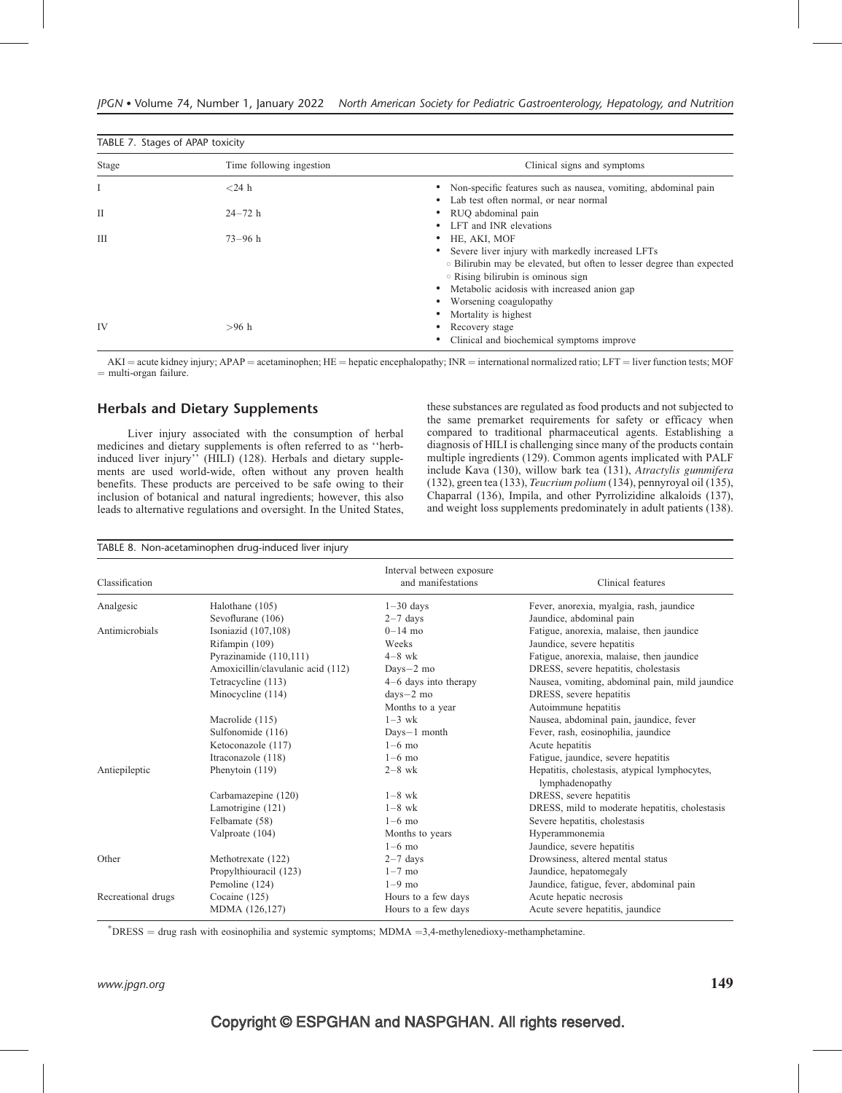| TABLE 7. Stages of APAP toxicity |                          |                                                                       |  |  |
|----------------------------------|--------------------------|-----------------------------------------------------------------------|--|--|
| Stage                            | Time following ingestion | Clinical signs and symptoms                                           |  |  |
|                                  | $<$ 24 h                 | Non-specific features such as nausea, vomiting, abdominal pain        |  |  |
|                                  |                          | • Lab test often normal, or near normal                               |  |  |
| П                                | $24 - 72 h$              | • RUO abdominal pain                                                  |  |  |
|                                  |                          | • LFT and INR elevations                                              |  |  |
| IΙI                              | $73 - 96 h$              | HE, AKI, MOF                                                          |  |  |
|                                  |                          | • Severe liver injury with markedly increased LFTs                    |  |  |
|                                  |                          | • Bilirubin may be elevated, but often to lesser degree than expected |  |  |
|                                  |                          | • Rising bilirubin is ominous sign                                    |  |  |
|                                  |                          | Metabolic acidosis with increased anion gap                           |  |  |
|                                  |                          | Worsening coagulopathy                                                |  |  |
|                                  |                          | Mortality is highest                                                  |  |  |
| IV                               | $>96$ h                  | Recovery stage                                                        |  |  |
|                                  |                          | Clinical and biochemical symptoms improve                             |  |  |

 $AKI = acute$  kidney injury; APAP = acetaminophen; HE = hepatic encephalopathy; INR = international normalized ratio; LFT = liver function tests; MOF  $=$  multi-organ failure.

#### Herbals and Dietary Supplements

Liver injury associated with the consumption of herbal medicines and dietary supplements is often referred to as ''herbinduced liver injury'' (HILI) (128). Herbals and dietary supplements are used world-wide, often without any proven health benefits. These products are perceived to be safe owing to their inclusion of botanical and natural ingredients; however, this also leads to alternative regulations and oversight. In the United States, these substances are regulated as food products and not subjected to the same premarket requirements for safety or efficacy when compared to traditional pharmaceutical agents. Establishing a diagnosis of HILI is challenging since many of the products contain multiple ingredients (129). Common agents implicated with PALF include Kava (130), willow bark tea (131), Atractylis gummifera (132), green tea (133), Teucrium polium (134), pennyroyal oil (135), Chaparral (136), Impila, and other Pyrrolizidine alkaloids (137), and weight loss supplements predominately in adult patients (138).

| Classification     |                                   | Interval between exposure<br>and manifestations | Clinical features                                                |
|--------------------|-----------------------------------|-------------------------------------------------|------------------------------------------------------------------|
| Analgesic          | Halothane (105)                   | $1-30$ days                                     | Fever, anorexia, myalgia, rash, jaundice                         |
|                    | Sevoflurane (106)                 | $2-7$ days                                      | Jaundice, abdominal pain                                         |
| Antimicrobials     | Isoniazid (107,108)               | $0 - 14$ mo                                     | Fatigue, anorexia, malaise, then jaundice                        |
|                    | Rifampin (109)                    | Weeks                                           | Jaundice, severe hepatitis                                       |
|                    | Pyrazinamide (110,111)            | $4-8$ wk                                        | Fatigue, anorexia, malaise, then jaundice                        |
|                    | Amoxicillin/clavulanic acid (112) | $_{\text{Days}-2 \text{ mo}}$                   | DRESS, severe hepatitis, cholestasis                             |
|                    | Tetracycline (113)                | $4-6$ days into therapy                         | Nausea, vomiting, abdominal pain, mild jaundice                  |
|                    | Minocycline (114)                 | $days - 2$ mo                                   | DRESS, severe hepatitis                                          |
|                    |                                   | Months to a year                                | Autoimmune hepatitis                                             |
|                    | Macrolide (115)                   | $1-3$ wk                                        | Nausea, abdominal pain, jaundice, fever                          |
|                    | Sulfonomide (116)                 | Days-1 month                                    | Fever, rash, eosinophilia, jaundice                              |
|                    | Ketoconazole (117)                | $1-6$ mo                                        | Acute hepatitis                                                  |
|                    | Itraconazole (118)                | $1-6$ mo                                        | Fatigue, jaundice, severe hepatitis                              |
| Antiepileptic      | Phenytoin (119)                   | $2-8$ wk                                        | Hepatitis, cholestasis, atypical lymphocytes,<br>lymphadenopathy |
|                    | Carbamazepine (120)               | $1-8$ wk                                        | DRESS, severe hepatitis                                          |
|                    | Lamotrigine (121)                 | $1-8$ wk                                        | DRESS, mild to moderate hepatitis, cholestasis                   |
|                    | Felbamate (58)                    | $1-6$ mo                                        | Severe hepatitis, cholestasis                                    |
|                    | Valproate (104)                   | Months to years                                 | Hyperammonemia                                                   |
|                    |                                   | $1-6$ mo                                        | Jaundice, severe hepatitis                                       |
| Other              | Methotrexate (122)                | $2-7$ days                                      | Drowsiness, altered mental status                                |
|                    | Propylthiouracil (123)            | $1-7$ mo                                        | Jaundice, hepatomegaly                                           |
|                    | Pemoline (124)                    | $1-9$ mo                                        | Jaundice, fatigue, fever, abdominal pain                         |
| Recreational drugs | Cocaine $(125)$                   | Hours to a few days                             | Acute hepatic necrosis                                           |
|                    | MDMA (126,127)                    | Hours to a few days                             | Acute severe hepatitis, jaundice                                 |

 $*$ DRESS = drug rash with eosinophilia and systemic symptoms; MDMA =3,4-methylenedioxy-methamphetamine.

www.jpgn.org  $149$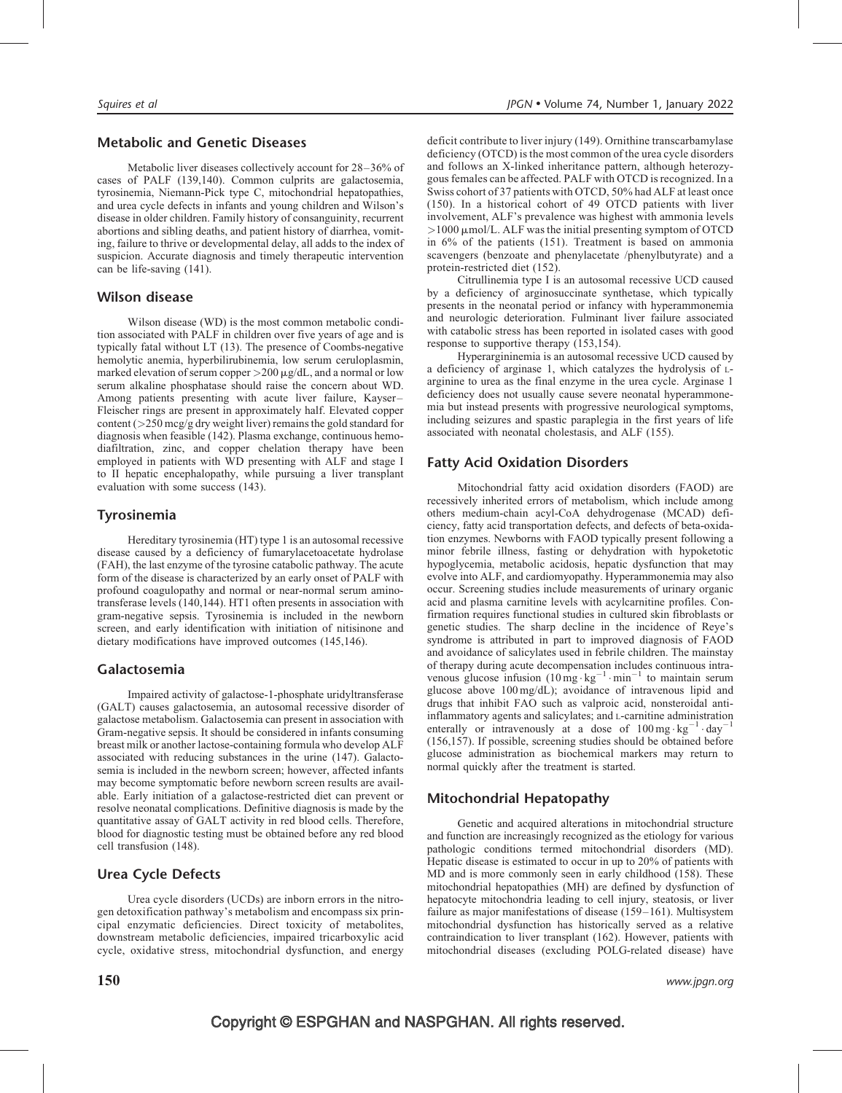#### Metabolic and Genetic Diseases

Metabolic liver diseases collectively account for 28–36% of cases of PALF (139,140). Common culprits are galactosemia, tyrosinemia, Niemann-Pick type C, mitochondrial hepatopathies, and urea cycle defects in infants and young children and Wilson's disease in older children. Family history of consanguinity, recurrent abortions and sibling deaths, and patient history of diarrhea, vomiting, failure to thrive or developmental delay, all adds to the index of suspicion. Accurate diagnosis and timely therapeutic intervention can be life-saving (141).

#### Wilson disease

Wilson disease (WD) is the most common metabolic condition associated with PALF in children over five years of age and is typically fatal without LT (13). The presence of Coombs-negative hemolytic anemia, hyperbilirubinemia, low serum ceruloplasmin, marked elevation of serum copper  $>200 \mu g/dL$ , and a normal or low serum alkaline phosphatase should raise the concern about WD. Among patients presenting with acute liver failure, Kayser– Fleischer rings are present in approximately half. Elevated copper content  $(>250 \text{~mag/g}$  dry weight liver) remains the gold standard for diagnosis when feasible (142). Plasma exchange, continuous hemodiafiltration, zinc, and copper chelation therapy have been employed in patients with WD presenting with ALF and stage I to II hepatic encephalopathy, while pursuing a liver transplant evaluation with some success (143).

# Tyrosinemia

Hereditary tyrosinemia (HT) type 1 is an autosomal recessive disease caused by a deficiency of fumarylacetoacetate hydrolase (FAH), the last enzyme of the tyrosine catabolic pathway. The acute form of the disease is characterized by an early onset of PALF with profound coagulopathy and normal or near-normal serum aminotransferase levels (140,144). HT1 often presents in association with gram-negative sepsis. Tyrosinemia is included in the newborn screen, and early identification with initiation of nitisinone and dietary modifications have improved outcomes (145,146).

# Galactosemia

Impaired activity of galactose-1-phosphate uridyltransferase (GALT) causes galactosemia, an autosomal recessive disorder of galactose metabolism. Galactosemia can present in association with Gram-negative sepsis. It should be considered in infants consuming breast milk or another lactose-containing formula who develop ALF associated with reducing substances in the urine (147). Galactosemia is included in the newborn screen; however, affected infants may become symptomatic before newborn screen results are available. Early initiation of a galactose-restricted diet can prevent or resolve neonatal complications. Definitive diagnosis is made by the quantitative assay of GALT activity in red blood cells. Therefore, blood for diagnostic testing must be obtained before any red blood cell transfusion (148).

# Urea Cycle Defects

Urea cycle disorders (UCDs) are inborn errors in the nitrogen detoxification pathway's metabolism and encompass six principal enzymatic deficiencies. Direct toxicity of metabolites, downstream metabolic deficiencies, impaired tricarboxylic acid cycle, oxidative stress, mitochondrial dysfunction, and energy deficit contribute to liver injury (149). Ornithine transcarbamylase deficiency (OTCD) is the most common of the urea cycle disorders and follows an X-linked inheritance pattern, although heterozygous females can be affected. PALF with OTCD is recognized. In a Swiss cohort of 37 patients with OTCD, 50% had ALF at least once (150). In a historical cohort of 49 OTCD patients with liver involvement, ALF's prevalence was highest with ammonia levels  $>1000$   $\mu$ mol/L. ALF was the initial presenting symptom of OTCD in 6% of the patients (151). Treatment is based on ammonia scavengers (benzoate and phenylacetate /phenylbutyrate) and a protein-restricted diet (152).

Citrullinemia type I is an autosomal recessive UCD caused by a deficiency of arginosuccinate synthetase, which typically presents in the neonatal period or infancy with hyperammonemia and neurologic deterioration. Fulminant liver failure associated with catabolic stress has been reported in isolated cases with good response to supportive therapy (153,154).

Hyperargininemia is an autosomal recessive UCD caused by a deficiency of arginase 1, which catalyzes the hydrolysis of Larginine to urea as the final enzyme in the urea cycle. Arginase 1 deficiency does not usually cause severe neonatal hyperammonemia but instead presents with progressive neurological symptoms, including seizures and spastic paraplegia in the first years of life associated with neonatal cholestasis, and ALF (155).

# Fatty Acid Oxidation Disorders

Mitochondrial fatty acid oxidation disorders (FAOD) are recessively inherited errors of metabolism, which include among others medium-chain acyl-CoA dehydrogenase (MCAD) deficiency, fatty acid transportation defects, and defects of beta-oxidation enzymes. Newborns with FAOD typically present following a minor febrile illness, fasting or dehydration with hypoketotic hypoglycemia, metabolic acidosis, hepatic dysfunction that may evolve into ALF, and cardiomyopathy. Hyperammonemia may also occur. Screening studies include measurements of urinary organic acid and plasma carnitine levels with acylcarnitine profiles. Confirmation requires functional studies in cultured skin fibroblasts or genetic studies. The sharp decline in the incidence of Reye's syndrome is attributed in part to improved diagnosis of FAOD and avoidance of salicylates used in febrile children. The mainstay of therapy during acute decompensation includes continuous intravenous glucose infusion  $(10 \text{ mg} \cdot \text{kg}^{-1} \cdot \text{min}^{-1}$  to maintain serum glucose above 100 mg/dL); avoidance of intravenous lipid and drugs that inhibit FAO such as valproic acid, nonsteroidal antiinflammatory agents and salicylates; and L-carnitine administration enterally or intravenously at a dose of  $100 \text{ mg} \cdot \text{kg}^{-1} \cdot \text{day}^{-1}$ (156,157). If possible, screening studies should be obtained before glucose administration as biochemical markers may return to normal quickly after the treatment is started.

### Mitochondrial Hepatopathy

Genetic and acquired alterations in mitochondrial structure and function are increasingly recognized as the etiology for various pathologic conditions termed mitochondrial disorders (MD). Hepatic disease is estimated to occur in up to 20% of patients with MD and is more commonly seen in early childhood (158). These mitochondrial hepatopathies (MH) are defined by dysfunction of hepatocyte mitochondria leading to cell injury, steatosis, or liver failure as major manifestations of disease (159–161). Multisystem mitochondrial dysfunction has historically served as a relative contraindication to liver transplant (162). However, patients with mitochondrial diseases (excluding POLG-related disease) have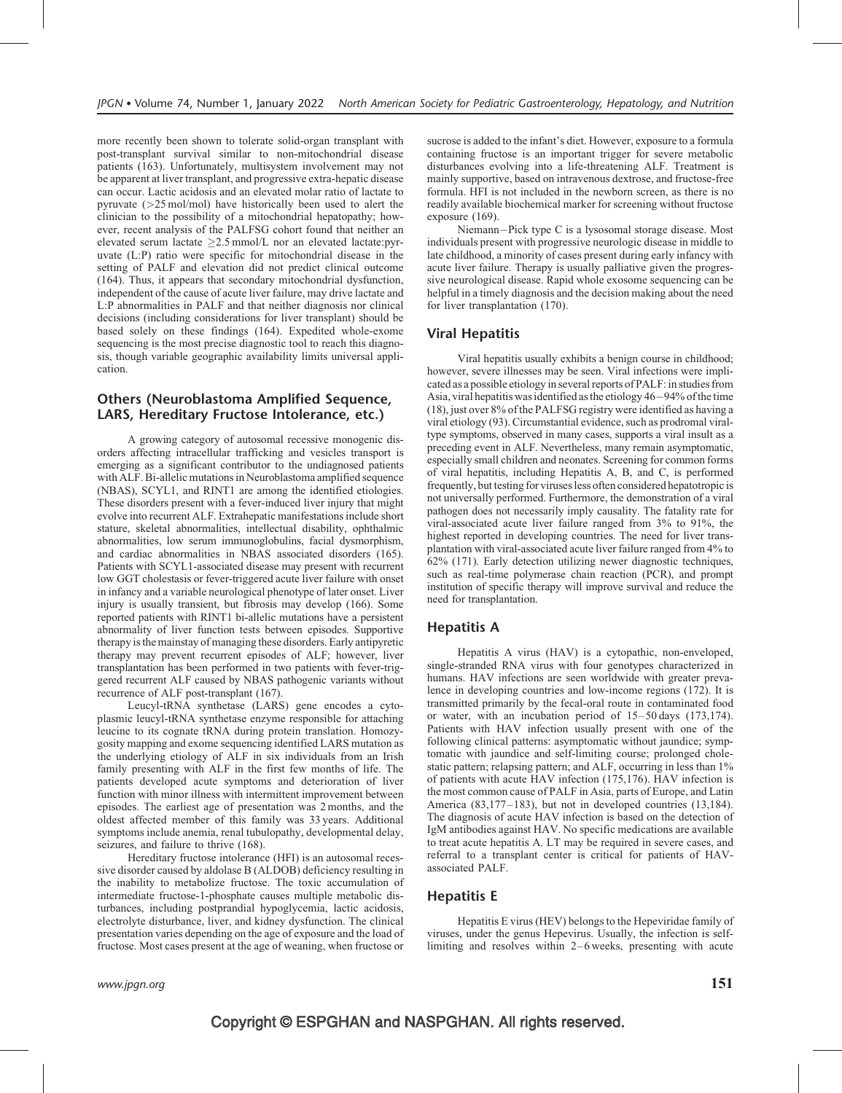more recently been shown to tolerate solid-organ transplant with post-transplant survival similar to non-mitochondrial disease patients (163). Unfortunately, multisystem involvement may not be apparent at liver transplant, and progressive extra-hepatic disease can occur. Lactic acidosis and an elevated molar ratio of lactate to pyruvate (>25 mol/mol) have historically been used to alert the clinician to the possibility of a mitochondrial hepatopathy; however, recent analysis of the PALFSG cohort found that neither an elevated serum lactate  $\geq$ 2.5 mmol/L nor an elevated lactate:pyruvate (L:P) ratio were specific for mitochondrial disease in the setting of PALF and elevation did not predict clinical outcome (164). Thus, it appears that secondary mitochondrial dysfunction, independent of the cause of acute liver failure, may drive lactate and L:P abnormalities in PALF and that neither diagnosis nor clinical decisions (including considerations for liver transplant) should be based solely on these findings (164). Expedited whole-exome sequencing is the most precise diagnostic tool to reach this diagnosis, though variable geographic availability limits universal application.

#### Others (Neuroblastoma Amplified Sequence, LARS, Hereditary Fructose Intolerance, etc.)

A growing category of autosomal recessive monogenic disorders affecting intracellular trafficking and vesicles transport is emerging as a significant contributor to the undiagnosed patients with ALF. Bi-allelic mutations in Neuroblastoma amplified sequence (NBAS), SCYL1, and RINT1 are among the identified etiologies. These disorders present with a fever-induced liver injury that might evolve into recurrent ALF. Extrahepatic manifestations include short stature, skeletal abnormalities, intellectual disability, ophthalmic abnormalities, low serum immunoglobulins, facial dysmorphism, and cardiac abnormalities in NBAS associated disorders (165). Patients with SCYL1-associated disease may present with recurrent low GGT cholestasis or fever-triggered acute liver failure with onset in infancy and a variable neurological phenotype of later onset. Liver injury is usually transient, but fibrosis may develop (166). Some reported patients with RINT1 bi-allelic mutations have a persistent abnormality of liver function tests between episodes. Supportive therapy is the mainstay of managing these disorders. Early antipyretic therapy may prevent recurrent episodes of ALF; however, liver transplantation has been performed in two patients with fever-triggered recurrent ALF caused by NBAS pathogenic variants without recurrence of ALF post-transplant (167).

Leucyl-tRNA synthetase (LARS) gene encodes a cytoplasmic leucyl-tRNA synthetase enzyme responsible for attaching leucine to its cognate tRNA during protein translation. Homozygosity mapping and exome sequencing identified LARS mutation as the underlying etiology of ALF in six individuals from an Irish family presenting with ALF in the first few months of life. The patients developed acute symptoms and deterioration of liver function with minor illness with intermittent improvement between episodes. The earliest age of presentation was 2 months, and the oldest affected member of this family was 33 years. Additional symptoms include anemia, renal tubulopathy, developmental delay, seizures, and failure to thrive (168).

Hereditary fructose intolerance (HFI) is an autosomal recessive disorder caused by aldolase B (ALDOB) deficiency resulting in the inability to metabolize fructose. The toxic accumulation of intermediate fructose-1-phosphate causes multiple metabolic disturbances, including postprandial hypoglycemia, lactic acidosis, electrolyte disturbance, liver, and kidney dysfunction. The clinical presentation varies depending on the age of exposure and the load of fructose. Most cases present at the age of weaning, when fructose or

sucrose is added to the infant's diet. However, exposure to a formula containing fructose is an important trigger for severe metabolic disturbances evolving into a life-threatening ALF. Treatment is mainly supportive, based on intravenous dextrose, and fructose-free formula. HFI is not included in the newborn screen, as there is no readily available biochemical marker for screening without fructose exposure (169).

Niemann-Pick type C is a lysosomal storage disease. Most individuals present with progressive neurologic disease in middle to late childhood, a minority of cases present during early infancy with acute liver failure. Therapy is usually palliative given the progressive neurological disease. Rapid whole exosome sequencing can be helpful in a timely diagnosis and the decision making about the need for liver transplantation (170).

#### Viral Hepatitis

Viral hepatitis usually exhibits a benign course in childhood; however, severe illnesses may be seen. Viral infections were implicated as a possible etiology in several reports of PALF: in studies from Asia, viral hepatitis was identified as the etiology  $46-94%$  of the time (18), just over 8% of the PALFSG registry were identified as having a viral etiology (93). Circumstantial evidence, such as prodromal viraltype symptoms, observed in many cases, supports a viral insult as a preceding event in ALF. Nevertheless, many remain asymptomatic, especially small children and neonates. Screening for common forms of viral hepatitis, including Hepatitis A, B, and C, is performed frequently, but testing for viruses less often considered hepatotropic is not universally performed. Furthermore, the demonstration of a viral pathogen does not necessarily imply causality. The fatality rate for viral-associated acute liver failure ranged from 3% to 91%, the highest reported in developing countries. The need for liver transplantation with viral-associated acute liver failure ranged from 4% to 62% (171). Early detection utilizing newer diagnostic techniques, such as real-time polymerase chain reaction (PCR), and prompt institution of specific therapy will improve survival and reduce the need for transplantation.

#### Hepatitis A

Hepatitis A virus (HAV) is a cytopathic, non-enveloped, single-stranded RNA virus with four genotypes characterized in humans. HAV infections are seen worldwide with greater prevalence in developing countries and low-income regions (172). It is transmitted primarily by the fecal-oral route in contaminated food or water, with an incubation period of 15–50 days (173,174). Patients with HAV infection usually present with one of the following clinical patterns: asymptomatic without jaundice; symptomatic with jaundice and self-limiting course; prolonged cholestatic pattern; relapsing pattern; and ALF, occurring in less than 1% of patients with acute HAV infection (175,176). HAV infection is the most common cause of PALF in Asia, parts of Europe, and Latin America (83,177–183), but not in developed countries (13,184). The diagnosis of acute HAV infection is based on the detection of IgM antibodies against HAV. No specific medications are available to treat acute hepatitis A. LT may be required in severe cases, and referral to a transplant center is critical for patients of HAVassociated PALF.

#### Hepatitis E

Hepatitis E virus (HEV) belongs to the Hepeviridae family of viruses, under the genus Hepevirus. Usually, the infection is selflimiting and resolves within 2–6 weeks, presenting with acute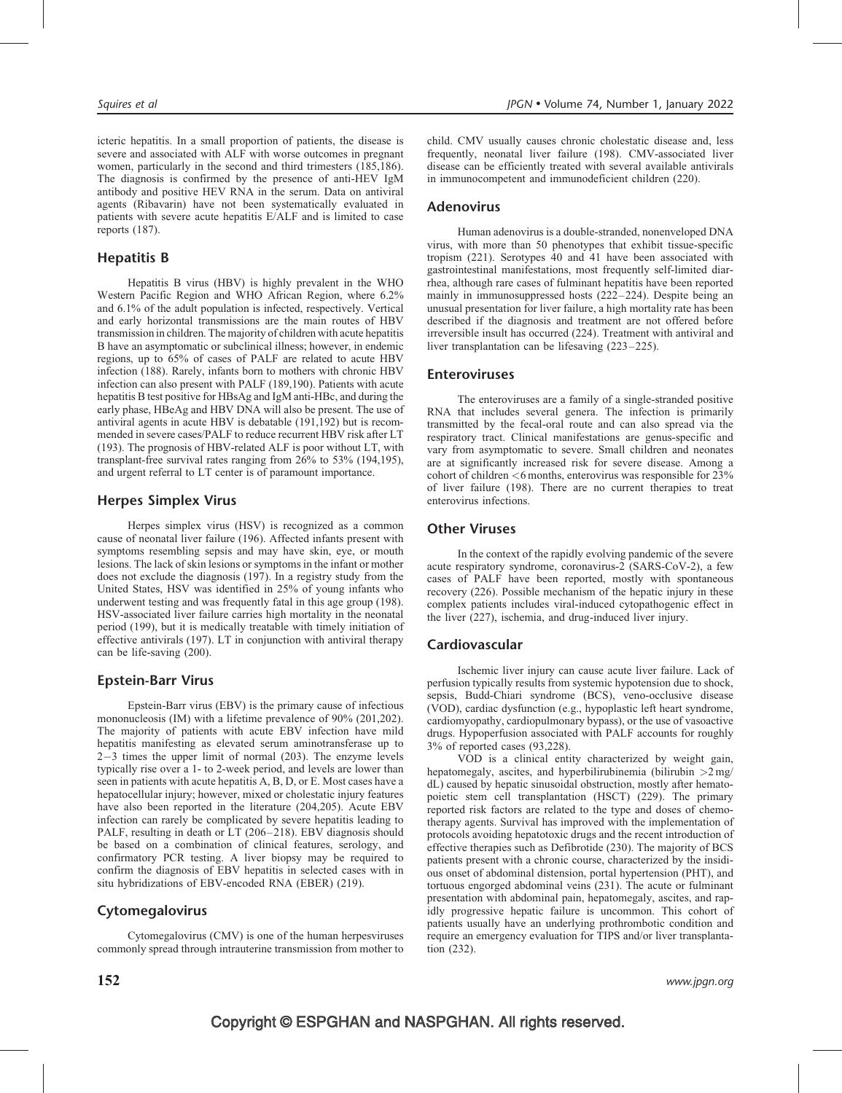icteric hepatitis. In a small proportion of patients, the disease is severe and associated with ALF with worse outcomes in pregnant women, particularly in the second and third trimesters (185,186). The diagnosis is confirmed by the presence of anti-HEV IgM antibody and positive HEV RNA in the serum. Data on antiviral agents (Ribavarin) have not been systematically evaluated in patients with severe acute hepatitis E/ALF and is limited to case reports (187).

#### Hepatitis B

Hepatitis B virus (HBV) is highly prevalent in the WHO Western Pacific Region and WHO African Region, where 6.2% and 6.1% of the adult population is infected, respectively. Vertical and early horizontal transmissions are the main routes of HBV transmission in children. The majority of children with acute hepatitis B have an asymptomatic or subclinical illness; however, in endemic regions, up to 65% of cases of PALF are related to acute HBV infection (188). Rarely, infants born to mothers with chronic HBV infection can also present with PALF (189,190). Patients with acute hepatitis B test positive for HBsAg and IgM anti-HBc, and during the early phase, HBeAg and HBV DNA will also be present. The use of antiviral agents in acute HBV is debatable (191,192) but is recommended in severe cases/PALF to reduce recurrent HBV risk after LT (193). The prognosis of HBV-related ALF is poor without LT, with transplant-free survival rates ranging from 26% to 53% (194,195), and urgent referral to LT center is of paramount importance.

#### Herpes Simplex Virus

Herpes simplex virus (HSV) is recognized as a common cause of neonatal liver failure (196). Affected infants present with symptoms resembling sepsis and may have skin, eye, or mouth lesions. The lack of skin lesions or symptoms in the infant or mother does not exclude the diagnosis (197). In a registry study from the United States, HSV was identified in 25% of young infants who underwent testing and was frequently fatal in this age group (198). HSV-associated liver failure carries high mortality in the neonatal period (199), but it is medically treatable with timely initiation of effective antivirals (197). LT in conjunction with antiviral therapy can be life-saving (200).

#### Epstein-Barr Virus

Epstein-Barr virus (EBV) is the primary cause of infectious mononucleosis (IM) with a lifetime prevalence of 90% (201,202). The majority of patients with acute EBV infection have mild hepatitis manifesting as elevated serum aminotransferase up to  $2-3$  times the upper limit of normal (203). The enzyme levels typically rise over a 1- to 2-week period, and levels are lower than seen in patients with acute hepatitis A, B, D, or E. Most cases have a hepatocellular injury; however, mixed or cholestatic injury features have also been reported in the literature (204,205). Acute EBV infection can rarely be complicated by severe hepatitis leading to PALF, resulting in death or LT (206-218). EBV diagnosis should be based on a combination of clinical features, serology, and confirmatory PCR testing. A liver biopsy may be required to confirm the diagnosis of EBV hepatitis in selected cases with in situ hybridizations of EBV-encoded RNA (EBER) (219).

#### Cytomegalovirus

Cytomegalovirus (CMV) is one of the human herpesviruses commonly spread through intrauterine transmission from mother to

#### Adenovirus

Human adenovirus is a double-stranded, nonenveloped DNA virus, with more than 50 phenotypes that exhibit tissue-specific tropism (221). Serotypes 40 and 41 have been associated with gastrointestinal manifestations, most frequently self-limited diarrhea, although rare cases of fulminant hepatitis have been reported mainly in immunosuppressed hosts (222–224). Despite being an unusual presentation for liver failure, a high mortality rate has been described if the diagnosis and treatment are not offered before irreversible insult has occurred (224). Treatment with antiviral and liver transplantation can be lifesaving (223–225).

#### Enteroviruses

The enteroviruses are a family of a single-stranded positive RNA that includes several genera. The infection is primarily transmitted by the fecal-oral route and can also spread via the respiratory tract. Clinical manifestations are genus-specific and vary from asymptomatic to severe. Small children and neonates are at significantly increased risk for severe disease. Among a cohort of children  $\leq 6$  months, enterovirus was responsible for 23% of liver failure (198). There are no current therapies to treat enterovirus infections.

#### Other Viruses

In the context of the rapidly evolving pandemic of the severe acute respiratory syndrome, coronavirus-2 (SARS-CoV-2), a few cases of PALF have been reported, mostly with spontaneous recovery (226). Possible mechanism of the hepatic injury in these complex patients includes viral-induced cytopathogenic effect in the liver (227), ischemia, and drug-induced liver injury.

#### Cardiovascular

Ischemic liver injury can cause acute liver failure. Lack of perfusion typically results from systemic hypotension due to shock, sepsis, Budd-Chiari syndrome (BCS), veno-occlusive disease (VOD), cardiac dysfunction (e.g., hypoplastic left heart syndrome, cardiomyopathy, cardiopulmonary bypass), or the use of vasoactive drugs. Hypoperfusion associated with PALF accounts for roughly 3% of reported cases (93,228).

VOD is a clinical entity characterized by weight gain, hepatomegaly, ascites, and hyperbilirubinemia (bilirubin  $>2$  mg/ dL) caused by hepatic sinusoidal obstruction, mostly after hematopoietic stem cell transplantation (HSCT) (229). The primary reported risk factors are related to the type and doses of chemotherapy agents. Survival has improved with the implementation of protocols avoiding hepatotoxic drugs and the recent introduction of effective therapies such as Defibrotide (230). The majority of BCS patients present with a chronic course, characterized by the insidious onset of abdominal distension, portal hypertension (PHT), and tortuous engorged abdominal veins (231). The acute or fulminant presentation with abdominal pain, hepatomegaly, ascites, and rapidly progressive hepatic failure is uncommon. This cohort of patients usually have an underlying prothrombotic condition and require an emergency evaluation for TIPS and/or liver transplantation (232).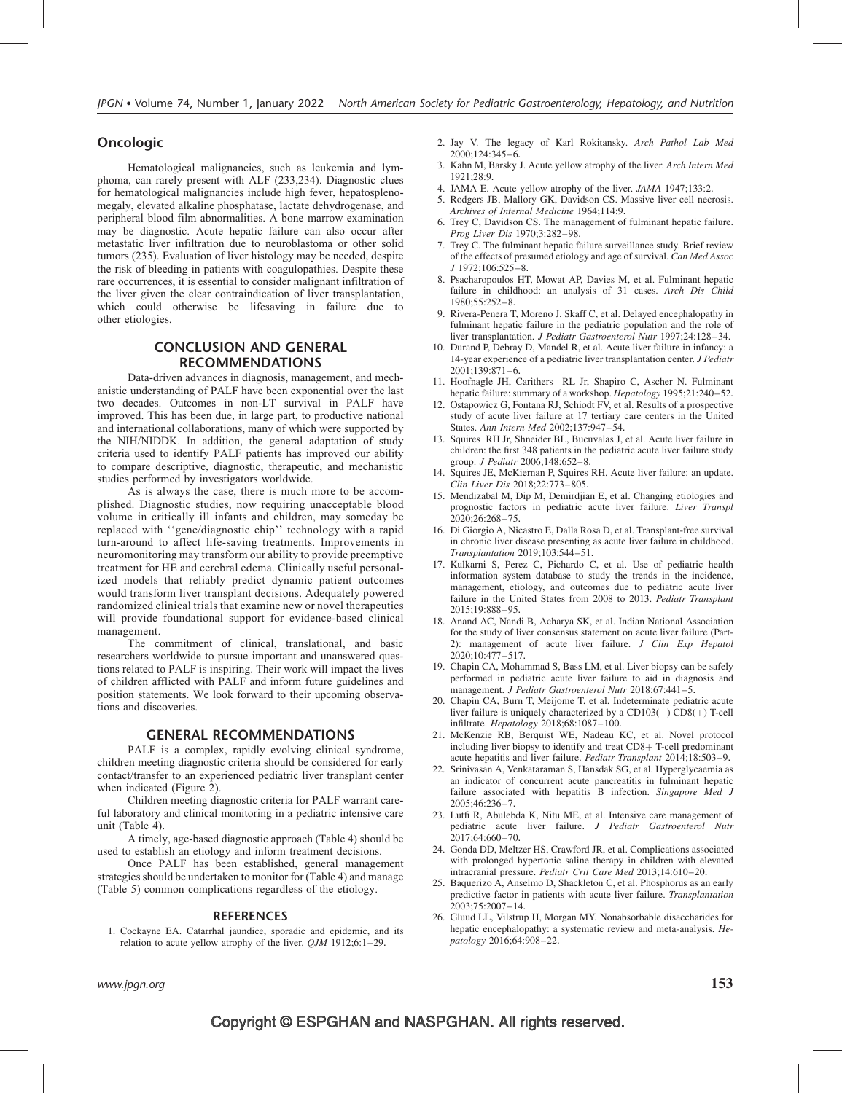#### Oncologic

Hematological malignancies, such as leukemia and lymphoma, can rarely present with ALF (233,234). Diagnostic clues for hematological malignancies include high fever, hepatosplenomegaly, elevated alkaline phosphatase, lactate dehydrogenase, and peripheral blood film abnormalities. A bone marrow examination may be diagnostic. Acute hepatic failure can also occur after metastatic liver infiltration due to neuroblastoma or other solid tumors (235). Evaluation of liver histology may be needed, despite the risk of bleeding in patients with coagulopathies. Despite these rare occurrences, it is essential to consider malignant infiltration of the liver given the clear contraindication of liver transplantation, which could otherwise be lifesaving in failure due to other etiologies.

#### CONCLUSION AND GENERAL RECOMMENDATIONS

Data-driven advances in diagnosis, management, and mechanistic understanding of PALF have been exponential over the last two decades. Outcomes in non-LT survival in PALF have improved. This has been due, in large part, to productive national and international collaborations, many of which were supported by the NIH/NIDDK. In addition, the general adaptation of study criteria used to identify PALF patients has improved our ability to compare descriptive, diagnostic, therapeutic, and mechanistic studies performed by investigators worldwide.

As is always the case, there is much more to be accomplished. Diagnostic studies, now requiring unacceptable blood volume in critically ill infants and children, may someday be replaced with ''gene/diagnostic chip'' technology with a rapid turn-around to affect life-saving treatments. Improvements in neuromonitoring may transform our ability to provide preemptive treatment for HE and cerebral edema. Clinically useful personalized models that reliably predict dynamic patient outcomes would transform liver transplant decisions. Adequately powered randomized clinical trials that examine new or novel therapeutics will provide foundational support for evidence-based clinical management.

The commitment of clinical, translational, and basic researchers worldwide to pursue important and unanswered questions related to PALF is inspiring. Their work will impact the lives of children afflicted with PALF and inform future guidelines and position statements. We look forward to their upcoming observations and discoveries.

#### GENERAL RECOMMENDATIONS

PALF is a complex, rapidly evolving clinical syndrome, children meeting diagnostic criteria should be considered for early contact/transfer to an experienced pediatric liver transplant center when indicated (Figure 2).

Children meeting diagnostic criteria for PALF warrant careful laboratory and clinical monitoring in a pediatric intensive care unit (Table 4).

A timely, age-based diagnostic approach (Table 4) should be used to establish an etiology and inform treatment decisions.

Once PALF has been established, general management strategies should be undertaken to monitor for (Table 4) and manage (Table 5) common complications regardless of the etiology.

#### REFERENCES

1. Cockayne EA. Catarrhal jaundice, sporadic and epidemic, and its relation to acute yellow atrophy of the liver.  $QJM$  1912;6:1-29.

- 2. Jay V. The legacy of Karl Rokitansky. Arch Pathol Lab Med 2000;124:345–6.
- 3. Kahn M, Barsky J. Acute yellow atrophy of the liver. Arch Intern Med  $1921.28.9$
- 4. JAMA E. Acute yellow atrophy of the liver. JAMA 1947;133:2.
- 5. Rodgers JB, Mallory GK, Davidson CS. Massive liver cell necrosis. Archives of Internal Medicine 1964;114:9.
- 6. Trey C, Davidson CS. The management of fulminant hepatic failure. Prog Liver Dis 1970;3:282–98.
- 7. Trey C. The fulminant hepatic failure surveillance study. Brief review of the effects of presumed etiology and age of survival. Can Med Assoc J 1972;106:525–8.
- 8. Psacharopoulos HT, Mowat AP, Davies M, et al. Fulminant hepatic failure in childhood: an analysis of 31 cases. Arch Dis Child 1980;55:252–8.
- 9. Rivera-Penera T, Moreno J, Skaff C, et al. Delayed encephalopathy in fulminant hepatic failure in the pediatric population and the role of liver transplantation. J Pediatr Gastroenterol Nutr 1997;24:128–34.
- 10. Durand P, Debray D, Mandel R, et al. Acute liver failure in infancy: a 14-year experience of a pediatric liver transplantation center. J Pediatr 2001;139:871–6.
- 11. Hoofnagle JH, Carithers RL Jr, Shapiro C, Ascher N. Fulminant hepatic failure: summary of a workshop. Hepatology 1995;21:240–52.
- 12. Ostapowicz G, Fontana RJ, Schiodt FV, et al. Results of a prospective study of acute liver failure at 17 tertiary care centers in the United States. Ann Intern Med 2002;137:947–54.
- 13. Squires RH Jr, Shneider BL, Bucuvalas J, et al. Acute liver failure in children: the first 348 patients in the pediatric acute liver failure study group. J Pediatr 2006;148:652–8.
- 14. Squires JE, McKiernan P, Squires RH. Acute liver failure: an update. Clin Liver Dis 2018;22:773–805.
- 15. Mendizabal M, Dip M, Demirdjian E, et al. Changing etiologies and prognostic factors in pediatric acute liver failure. Liver Transpl 2020;26:268–75.
- 16. Di Giorgio A, Nicastro E, Dalla Rosa D, et al. Transplant-free survival in chronic liver disease presenting as acute liver failure in childhood. Transplantation 2019;103:544–51.
- 17. Kulkarni S, Perez C, Pichardo C, et al. Use of pediatric health information system database to study the trends in the incidence, management, etiology, and outcomes due to pediatric acute liver failure in the United States from 2008 to 2013. Pediatr Transplant 2015;19:888–95.
- 18. Anand AC, Nandi B, Acharya SK, et al. Indian National Association for the study of liver consensus statement on acute liver failure (Part-2): management of acute liver failure. J Clin Exp Hepatol 2020;10:477–517.
- 19. Chapin CA, Mohammad S, Bass LM, et al. Liver biopsy can be safely performed in pediatric acute liver failure to aid in diagnosis and management. J Pediatr Gastroenterol Nutr 2018;67:441-5.
- 20. Chapin CA, Burn T, Meijome T, et al. Indeterminate pediatric acute liver failure is uniquely characterized by a  $CD103(+)$  CD8(+) T-cell infiltrate. Hepatology 2018;68:1087–100.
- 21. McKenzie RB, Berquist WE, Nadeau KC, et al. Novel protocol including liver biopsy to identify and treat  $CD8+$  T-cell predominant acute hepatitis and liver failure. Pediatr Transplant 2014;18:503–9.
- 22. Srinivasan A, Venkataraman S, Hansdak SG, et al. Hyperglycaemia as an indicator of concurrent acute pancreatitis in fulminant hepatic failure associated with hepatitis  $B$  infection. Singapore Med J 2005;46:236–7.
- 23. Lutfi R, Abulebda K, Nitu ME, et al. Intensive care management of pediatric acute liver failure. J Pediatr Gastroenterol Nutr 2017;64:660–70.
- 24. Gonda DD, Meltzer HS, Crawford JR, et al. Complications associated with prolonged hypertonic saline therapy in children with elevated intracranial pressure. Pediatr Crit Care Med 2013;14:610–20.
- 25. Baquerizo A, Anselmo D, Shackleton C, et al. Phosphorus as an early predictive factor in patients with acute liver failure. Transplantation 2003;75:2007–14.
- 26. Gluud LL, Vilstrup H, Morgan MY. Nonabsorbable disaccharides for hepatic encephalopathy: a systematic review and meta-analysis. Hepatology 2016;64:908–22.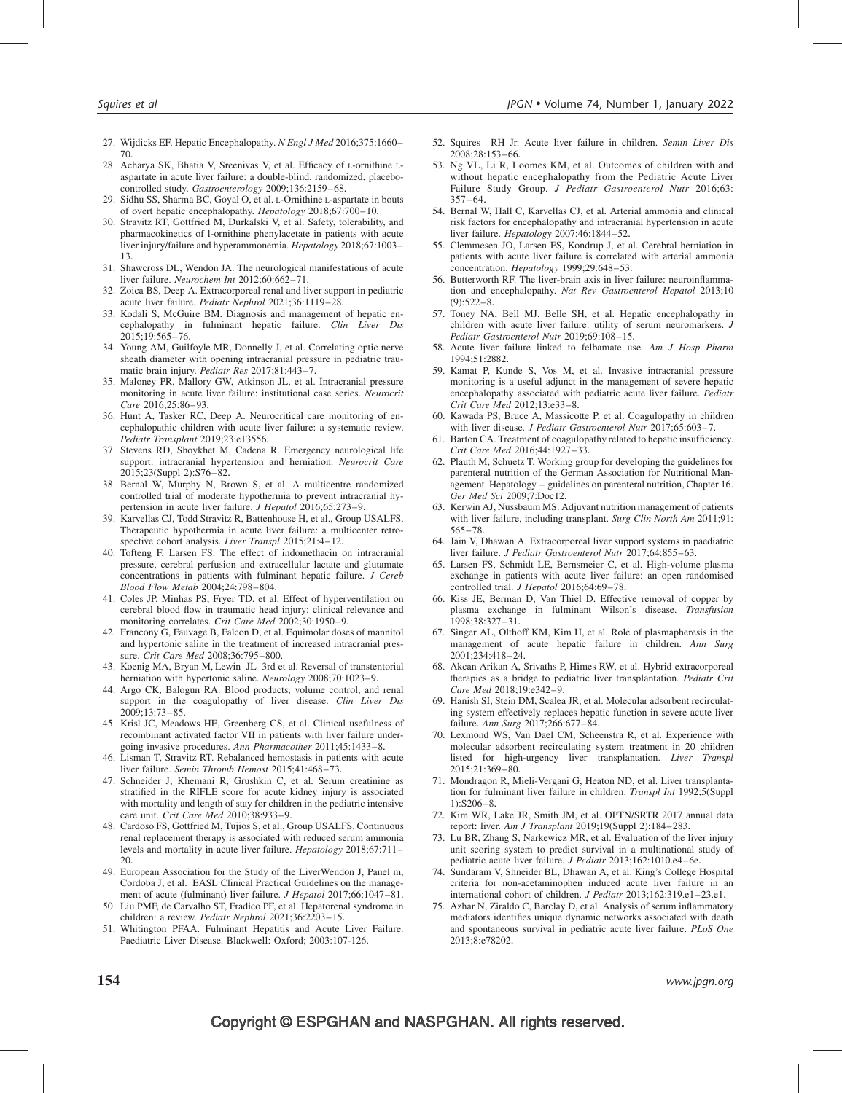- 27. Wijdicks EF. Hepatic Encephalopathy. N Engl J Med 2016;375:1660-70.
- 28. Acharya SK, Bhatia V, Sreenivas V, et al. Efficacy of L-ornithine Laspartate in acute liver failure: a double-blind, randomized, placebocontrolled study. Gastroenterology 2009;136:2159–68.
- 29. Sidhu SS, Sharma BC, Goyal O, et al. L-Ornithine L-aspartate in bouts of overt hepatic encephalopathy. Hepatology 2018;67:700–10.
- 30. Stravitz RT, Gottfried M, Durkalski V, et al. Safety, tolerability, and pharmacokinetics of l-ornithine phenylacetate in patients with acute liver injury/failure and hyperammonemia. Hepatology 2018;67:1003– 13.
- 31. Shawcross DL, Wendon JA. The neurological manifestations of acute liver failure. Neurochem Int 2012;60:662–71.
- 32. Zoica BS, Deep A. Extracorporeal renal and liver support in pediatric acute liver failure. Pediatr Nephrol 2021;36:1119–28.
- 33. Kodali S, McGuire BM. Diagnosis and management of hepatic encephalopathy in fulminant hepatic failure. Clin Liver Dis 2015;19:565–76.
- 34. Young AM, Guilfoyle MR, Donnelly J, et al. Correlating optic nerve sheath diameter with opening intracranial pressure in pediatric traumatic brain injury. Pediatr Res 2017;81:443–7.
- 35. Maloney PR, Mallory GW, Atkinson JL, et al. Intracranial pressure monitoring in acute liver failure: institutional case series. Neurocrit Care 2016;25:86–93.
- 36. Hunt A, Tasker RC, Deep A. Neurocritical care monitoring of encephalopathic children with acute liver failure: a systematic review. Pediatr Transplant 2019;23:e13556.
- 37. Stevens RD, Shoykhet M, Cadena R. Emergency neurological life support: intracranial hypertension and herniation. Neurocrit Care 2015;23(Suppl 2):S76–82.
- 38. Bernal W, Murphy N, Brown S, et al. A multicentre randomized controlled trial of moderate hypothermia to prevent intracranial hypertension in acute liver failure. J Hepatol 2016;65:273-9.
- 39. Karvellas CJ, Todd Stravitz R, Battenhouse H, et al., Group USALFS. Therapeutic hypothermia in acute liver failure: a multicenter retrospective cohort analysis. Liver Transpl 2015;21:4-12.
- 40. Tofteng F, Larsen FS. The effect of indomethacin on intracranial pressure, cerebral perfusion and extracellular lactate and glutamate concentrations in patients with fulminant hepatic failure. J Cereb Blood Flow Metab 2004;24:798–804.
- 41. Coles JP, Minhas PS, Fryer TD, et al. Effect of hyperventilation on cerebral blood flow in traumatic head injury: clinical relevance and monitoring correlates. Crit Care Med 2002;30:1950–9.
- 42. Francony G, Fauvage B, Falcon D, et al. Equimolar doses of mannitol and hypertonic saline in the treatment of increased intracranial pressure. Crit Care Med 2008;36:795–800.
- 43. Koenig MA, Bryan M, Lewin JL 3rd et al. Reversal of transtentorial herniation with hypertonic saline. Neurology 2008;70:1023-9.
- 44. Argo CK, Balogun RA. Blood products, volume control, and renal support in the coagulopathy of liver disease. Clin Liver Dis 2009;13:73–85.
- 45. Krisl JC, Meadows HE, Greenberg CS, et al. Clinical usefulness of recombinant activated factor VII in patients with liver failure undergoing invasive procedures. Ann Pharmacother 2011;45:1433–8.
- 46. Lisman T, Stravitz RT. Rebalanced hemostasis in patients with acute liver failure. Semin Thromb Hemost 2015:41:468-73.
- 47. Schneider J, Khemani R, Grushkin C, et al. Serum creatinine as stratified in the RIFLE score for acute kidney injury is associated with mortality and length of stay for children in the pediatric intensive care unit. Crit Care Med 2010;38:933–9.
- 48. Cardoso FS, Gottfried M, Tujios S, et al., Group USALFS. Continuous renal replacement therapy is associated with reduced serum ammonia levels and mortality in acute liver failure. Hepatology 2018;67:711-20.
- 49. European Association for the Study of the LiverWendon J, Panel m, Cordoba J, et al. EASL Clinical Practical Guidelines on the management of acute (fulminant) liver failure. *J Hepatol* 2017;66:1047–81.
- 50. Liu PMF, de Carvalho ST, Fradico PF, et al. Hepatorenal syndrome in children: a review. Pediatr Nephrol 2021;36:2203–15.
- 51. Whitington PFAA. Fulminant Hepatitis and Acute Liver Failure. Paediatric Liver Disease. Blackwell: Oxford; 2003:107-126.
- 52. Squires RH Jr. Acute liver failure in children. Semin Liver Dis 2008;28:153–66.
- 53. Ng VL, Li R, Loomes KM, et al. Outcomes of children with and without hepatic encephalopathy from the Pediatric Acute Liver Failure Study Group. J Pediatr Gastroenterol Nutr 2016;63: 357–64.
- 54. Bernal W, Hall C, Karvellas CJ, et al. Arterial ammonia and clinical risk factors for encephalopathy and intracranial hypertension in acute liver failure. Hepatology 2007;46:1844–52.
- 55. Clemmesen JO, Larsen FS, Kondrup J, et al. Cerebral herniation in patients with acute liver failure is correlated with arterial ammonia concentration. Hepatology 1999;29:648–53.
- 56. Butterworth RF. The liver-brain axis in liver failure: neuroinflammation and encephalopathy. Nat Rev Gastroenterol Hepatol 2013;10  $(9):522-8.$
- 57. Toney NA, Bell MJ, Belle SH, et al. Hepatic encephalopathy in children with acute liver failure: utility of serum neuromarkers. J Pediatr Gastroenterol Nutr 2019;69:108–15.
- 58. Acute liver failure linked to felbamate use. Am J Hosp Pharm 1994;51:2882.
- 59. Kamat P, Kunde S, Vos M, et al. Invasive intracranial pressure monitoring is a useful adjunct in the management of severe hepatic encephalopathy associated with pediatric acute liver failure. Pediatr Crit Care Med 2012;13:e33–8.
- 60. Kawada PS, Bruce A, Massicotte P, et al. Coagulopathy in children with liver disease. J Pediatr Gastroenterol Nutr 2017;65:603–7.
- 61. Barton CA. Treatment of coagulopathy related to hepatic insufficiency. Crit Care Med 2016;44:1927–33.
- 62. Plauth M, Schuetz T. Working group for developing the guidelines for parenteral nutrition of the German Association for Nutritional Management. Hepatology – guidelines on parenteral nutrition, Chapter 16. Ger Med Sci 2009;7:Doc12.
- 63. Kerwin AJ, Nussbaum MS. Adjuvant nutrition management of patients with liver failure, including transplant. Surg Clin North Am 2011;91: 565–78.
- 64. Jain V, Dhawan A. Extracorporeal liver support systems in paediatric liver failure. J Pediatr Gastroenterol Nutr 2017;64:855–63.
- 65. Larsen FS, Schmidt LE, Bernsmeier C, et al. High-volume plasma exchange in patients with acute liver failure: an open randomised controlled trial. J Hepatol 2016;64:69-78.
- 66. Kiss JE, Berman D, Van Thiel D. Effective removal of copper by plasma exchange in fulminant Wilson's disease. Transfusion 1998;38:327–31.
- 67. Singer AL, Olthoff KM, Kim H, et al. Role of plasmapheresis in the management of acute hepatic failure in children. Ann Surg 2001;234:418–24.
- 68. Akcan Arikan A, Srivaths P, Himes RW, et al. Hybrid extracorporeal therapies as a bridge to pediatric liver transplantation. Pediatr Crit Care Med 2018;19:e342–9.
- 69. Hanish SI, Stein DM, Scalea JR, et al. Molecular adsorbent recirculating system effectively replaces hepatic function in severe acute liver failure. Ann Surg 2017;266:677–84.
- 70. Lexmond WS, Van Dael CM, Scheenstra R, et al. Experience with molecular adsorbent recirculating system treatment in 20 children listed for high-urgency liver transplantation. Liver Transpl  $2015:21:369-80$
- 71. Mondragon R, Mieli-Vergani G, Heaton ND, et al. Liver transplantation for fulminant liver failure in children. Transpl Int 1992;5(Suppl 1):S206–8.
- 72. Kim WR, Lake JR, Smith JM, et al. OPTN/SRTR 2017 annual data report: liver. Am J Transplant 2019;19(Suppl 2):184–283.
- 73. Lu BR, Zhang S, Narkewicz MR, et al. Evaluation of the liver injury unit scoring system to predict survival in a multinational study of pediatric acute liver failure. J Pediatr 2013;162:1010.e4–6e.
- 74. Sundaram V, Shneider BL, Dhawan A, et al. King's College Hospital criteria for non-acetaminophen induced acute liver failure in an international cohort of children. J Pediatr 2013;162:319.e1–23.e1.
- 75. Azhar N, Ziraldo C, Barclay D, et al. Analysis of serum inflammatory mediators identifies unique dynamic networks associated with death and spontaneous survival in pediatric acute liver failure. PLoS One 2013;8:e78202.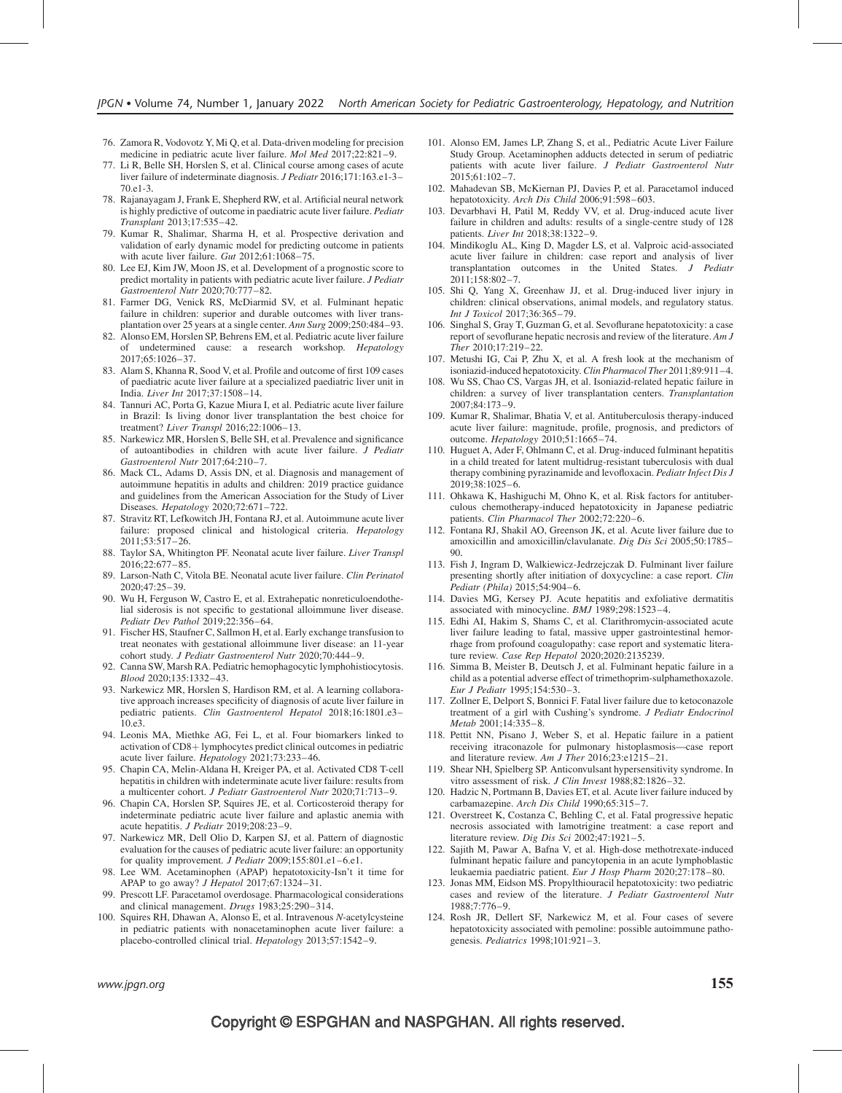- 76. Zamora R, Vodovotz Y, Mi Q, et al. Data-driven modeling for precision medicine in pediatric acute liver failure. Mol Med 2017;22:821–9.
- 77. Li R, Belle SH, Horslen S, et al. Clinical course among cases of acute liver failure of indeterminate diagnosis. J Pediatr 2016;171:163.e1-3– 70.e1-3.
- 78. Rajanayagam J, Frank E, Shepherd RW, et al. Artificial neural network is highly predictive of outcome in paediatric acute liver failure. Pediatr Transplant 2013;17:535–42.
- 79. Kumar R, Shalimar, Sharma H, et al. Prospective derivation and validation of early dynamic model for predicting outcome in patients with acute liver failure. Gut 2012;61:1068–75.
- 80. Lee EJ, Kim JW, Moon JS, et al. Development of a prognostic score to predict mortality in patients with pediatric acute liver failure. J Pediatr Gastroenterol Nutr 2020;70:777–82.
- 81. Farmer DG, Venick RS, McDiarmid SV, et al. Fulminant hepatic failure in children: superior and durable outcomes with liver transplantation over 25 years at a single center. Ann Surg 2009;250:484–93.
- 82. Alonso EM, Horslen SP, Behrens EM, et al. Pediatric acute liver failure of undetermined cause: a research workshop. Hepatology 2017;65:1026–37.
- 83. Alam S, Khanna R, Sood V, et al. Profile and outcome of first 109 cases of paediatric acute liver failure at a specialized paediatric liver unit in India. Liver Int 2017;37:1508–14.
- 84. Tannuri AC, Porta G, Kazue Miura I, et al. Pediatric acute liver failure in Brazil: Is living donor liver transplantation the best choice for treatment? Liver Transpl 2016;22:1006–13.
- 85. Narkewicz MR, Horslen S, Belle SH, et al. Prevalence and significance of autoantibodies in children with acute liver failure. J Pediatr Gastroenterol Nutr 2017;64:210–7.
- 86. Mack CL, Adams D, Assis DN, et al. Diagnosis and management of autoimmune hepatitis in adults and children: 2019 practice guidance and guidelines from the American Association for the Study of Liver Diseases. Hepatology 2020;72:671–722.
- 87. Stravitz RT, Lefkowitch JH, Fontana RJ, et al. Autoimmune acute liver failure: proposed clinical and histological criteria. Hepatology 2011;53:517–26.
- 88. Taylor SA, Whitington PF. Neonatal acute liver failure. Liver Transpl 2016;22:677–85.
- 89. Larson-Nath C, Vitola BE. Neonatal acute liver failure. Clin Perinatol 2020;47:25–39.
- 90. Wu H, Ferguson W, Castro E, et al. Extrahepatic nonreticuloendothelial siderosis is not specific to gestational alloimmune liver disease. Pediatr Dev Pathol 2019;22:356–64.
- 91. Fischer HS, Staufner C, Sallmon H, et al. Early exchange transfusion to treat neonates with gestational alloimmune liver disease: an 11-year cohort study. J Pediatr Gastroenterol Nutr 2020;70:444–9.
- 92. Canna SW, Marsh RA. Pediatric hemophagocytic lymphohistiocytosis. Blood 2020;135:1332–43.
- 93. Narkewicz MR, Horslen S, Hardison RM, et al. A learning collaborative approach increases specificity of diagnosis of acute liver failure in pediatric patients. Clin Gastroenterol Hepatol 2018;16:1801.e3– 10.e3.
- 94. Leonis MA, Miethke AG, Fei L, et al. Four biomarkers linked to activation of  $CD8 + 1$ ymphocytes predict clinical outcomes in pediatric acute liver failure. Hepatology 2021;73:233-46.
- 95. Chapin CA, Melin-Aldana H, Kreiger PA, et al. Activated CD8 T-cell hepatitis in children with indeterminate acute liver failure: results from a multicenter cohort. J Pediatr Gastroenterol Nutr 2020;71:713–9.
- 96. Chapin CA, Horslen SP, Squires JE, et al. Corticosteroid therapy for indeterminate pediatric acute liver failure and aplastic anemia with acute hepatitis. J Pediatr 2019;208:23–9.
- 97. Narkewicz MR, Dell Olio D, Karpen SJ, et al. Pattern of diagnostic evaluation for the causes of pediatric acute liver failure: an opportunity for quality improvement. *J Pediatr* 2009;155:801.e1-6.e1.
- 98. Lee WM. Acetaminophen (APAP) hepatotoxicity-Isn't it time for APAP to go away? *J Hepatol* 2017;67:1324-31.
- 99. Prescott LF. Paracetamol overdosage. Pharmacological considerations and clinical management. Drugs 1983;25:290–314.
- 100. Squires RH, Dhawan A, Alonso E, et al. Intravenous N-acetylcysteine in pediatric patients with nonacetaminophen acute liver failure: a placebo-controlled clinical trial. Hepatology 2013;57:1542–9.
- 101. Alonso EM, James LP, Zhang S, et al., Pediatric Acute Liver Failure Study Group. Acetaminophen adducts detected in serum of pediatric patients with acute liver failure. J Pediatr Gastroenterol Nutr  $2015:61:102 - 7.$
- 102. Mahadevan SB, McKiernan PJ, Davies P, et al. Paracetamol induced hepatotoxicity. Arch Dis Child 2006;91:598–603.
- 103. Devarbhavi H, Patil M, Reddy VV, et al. Drug-induced acute liver failure in children and adults: results of a single-centre study of 128 patients. Liver Int 2018;38:1322–9.
- 104. Mindikoglu AL, King D, Magder LS, et al. Valproic acid-associated acute liver failure in children: case report and analysis of liver transplantation outcomes in the United States. J Pediatr 2011;158:802–7.
- 105. Shi Q, Yang X, Greenhaw JJ, et al. Drug-induced liver injury in children: clinical observations, animal models, and regulatory status. Int J Toxicol 2017;36:365–79.
- 106. Singhal S, Gray T, Guzman G, et al. Sevoflurane hepatotoxicity: a case report of sevoflurane hepatic necrosis and review of the literature. Am J Ther 2010;17:219–22.
- 107. Metushi IG, Cai P, Zhu X, et al. A fresh look at the mechanism of isoniazid-induced hepatotoxicity. Clin Pharmacol Ther 2011;89:911–4.
- 108. Wu SS, Chao CS, Vargas JH, et al. Isoniazid-related hepatic failure in children: a survey of liver transplantation centers. Transplantation 2007;84:173–9.
- 109. Kumar R, Shalimar, Bhatia V, et al. Antituberculosis therapy-induced acute liver failure: magnitude, profile, prognosis, and predictors of outcome. Hepatology 2010;51:1665–74.
- 110. Huguet A, Ader F, Ohlmann C, et al. Drug-induced fulminant hepatitis in a child treated for latent multidrug-resistant tuberculosis with dual therapy combining pyrazinamide and levofloxacin. Pediatr Infect Dis J 2019;38:1025–6.
- 111. Ohkawa K, Hashiguchi M, Ohno K, et al. Risk factors for antituberculous chemotherapy-induced hepatotoxicity in Japanese pediatric patients. Clin Pharmacol Ther 2002;72:220–6.
- 112. Fontana RJ, Shakil AO, Greenson JK, et al. Acute liver failure due to amoxicillin and amoxicillin/clavulanate. Dig Dis Sci 2005;50:1785– 90.
- 113. Fish J, Ingram D, Walkiewicz-Jedrzejczak D. Fulminant liver failure presenting shortly after initiation of doxycycline: a case report. Clin Pediatr (Phila) 2015;54:904–6.
- 114. Davies MG, Kersey PJ. Acute hepatitis and exfoliative dermatitis associated with minocycline. BMJ 1989;298:1523–4.
- 115. Edhi AI, Hakim S, Shams C, et al. Clarithromycin-associated acute liver failure leading to fatal, massive upper gastrointestinal hemorrhage from profound coagulopathy: case report and systematic literature review. Case Rep Hepatol 2020;2020:2135239.
- 116. Simma B, Meister B, Deutsch J, et al. Fulminant hepatic failure in a child as a potential adverse effect of trimethoprim-sulphamethoxazole. Eur J Pediatr 1995;154:530–3.
- 117. Zollner E, Delport S, Bonnici F. Fatal liver failure due to ketoconazole treatment of a girl with Cushing's syndrome. J Pediatr Endocrinol Metab 2001;14:335–8.
- 118. Pettit NN, Pisano J, Weber S, et al. Hepatic failure in a patient receiving itraconazole for pulmonary histoplasmosis—case report and literature review. Am J Ther  $2016;23:$ e $1215-21$ .
- 119. Shear NH, Spielberg SP. Anticonvulsant hypersensitivity syndrome. In vitro assessment of risk. J Clin Invest 1988;82:1826–32.
- 120. Hadzic N, Portmann B, Davies ET, et al. Acute liver failure induced by carbamazepine. Arch Dis Child 1990;65:315–7.
- 121. Overstreet K, Costanza C, Behling C, et al. Fatal progressive hepatic necrosis associated with lamotrigine treatment: a case report and literature review. Dig Dis Sci 2002;47:1921-5.
- 122. Sajith M, Pawar A, Bafna V, et al. High-dose methotrexate-induced fulminant hepatic failure and pancytopenia in an acute lymphoblastic leukaemia paediatric patient. Eur J Hosp Pharm 2020;27:178–80.
- 123. Jonas MM, Eidson MS. Propylthiouracil hepatotoxicity: two pediatric cases and review of the literature. J Pediatr Gastroenterol Nutr 1988;7:776–9.
- 124. Rosh JR, Dellert SF, Narkewicz M, et al. Four cases of severe hepatotoxicity associated with pemoline: possible autoimmune pathogenesis. Pediatrics 1998;101:921–3.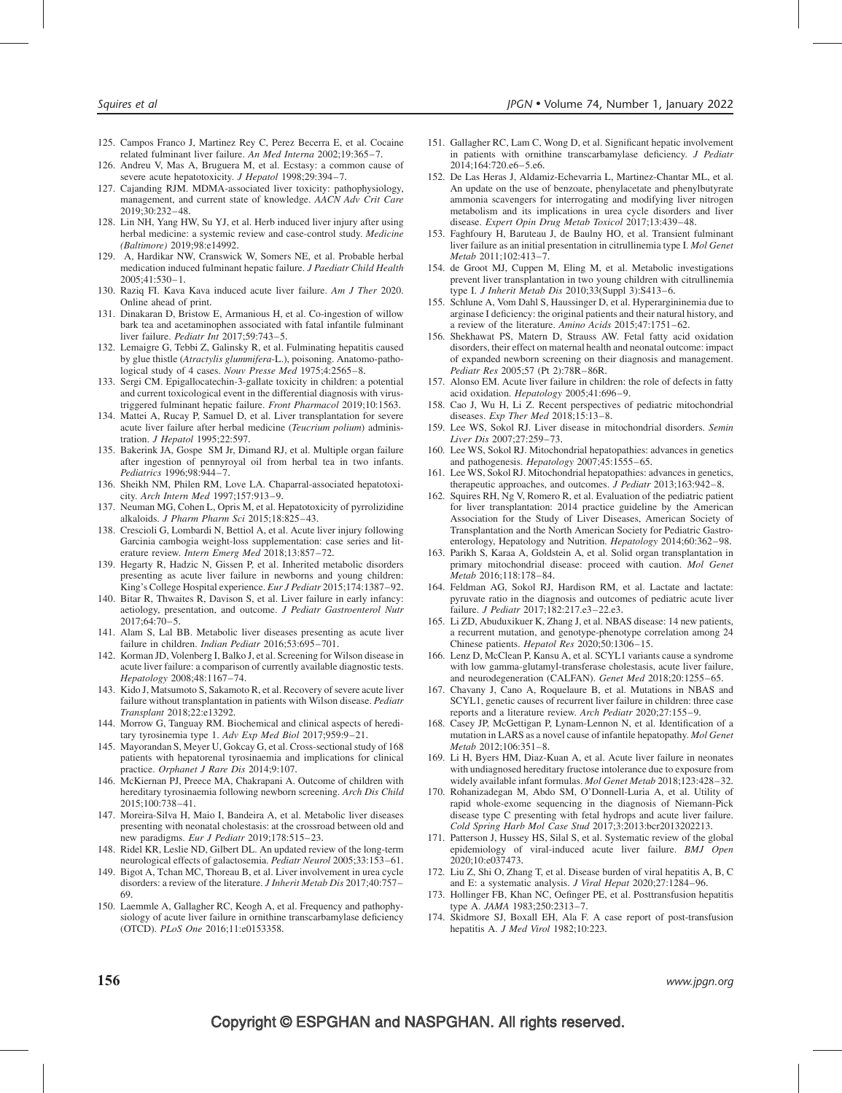- 125. Campos Franco J, Martinez Rey C, Perez Becerra E, et al. Cocaine related fulminant liver failure. An Med Interna 2002;19:365–7.
- 126. Andreu V, Mas A, Bruguera M, et al. Ecstasy: a common cause of severe acute hepatotoxicity. J Hepatol 1998;29:394-7.
- 127. Cajanding RJM. MDMA-associated liver toxicity: pathophysiology, management, and current state of knowledge. AACN Adv Crit Care 2019;30:232–48.
- 128. Lin NH, Yang HW, Su YJ, et al. Herb induced liver injury after using herbal medicine: a systemic review and case-control study. Medicine (Baltimore) 2019;98:e14992.
- 129. A, Hardikar NW, Cranswick W, Somers NE, et al. Probable herbal medication induced fulminant hepatic failure. J Paediatr Child Health 2005;41:530–1.
- 130. Raziq FI. Kava Kava induced acute liver failure. Am J Ther 2020. Online ahead of print.
- 131. Dinakaran D, Bristow E, Armanious H, et al. Co-ingestion of willow bark tea and acetaminophen associated with fatal infantile fulminant liver failure. Pediatr Int 2017;59:743–5.
- 132. Lemaigre G, Tebbi Z, Galinsky R, et al. Fulminating hepatitis caused by glue thistle (Atractylis glummifera-L.), poisoning. Anatomo-pathological study of 4 cases. Nouv Presse Med 1975;4:2565–8.
- 133. Sergi CM. Epigallocatechin-3-gallate toxicity in children: a potential and current toxicological event in the differential diagnosis with virustriggered fulminant hepatic failure. Front Pharmacol 2019;10:1563.
- 134. Mattei A, Rucay P, Samuel D, et al. Liver transplantation for severe acute liver failure after herbal medicine (Teucrium polium) administration. J Hepatol 1995;22:597.
- 135. Bakerink JA, Gospe SM Jr, Dimand RJ, et al. Multiple organ failure after ingestion of pennyroyal oil from herbal tea in two infants. Pediatrics 1996;98:944–7.
- 136. Sheikh NM, Philen RM, Love LA. Chaparral-associated hepatotoxicity. Arch Intern Med 1997;157:913–9.
- 137. Neuman MG, Cohen L, Opris M, et al. Hepatotoxicity of pyrrolizidine alkaloids. J Pharm Pharm Sci 2015;18:825–43.
- 138. Crescioli G, Lombardi N, Bettiol A, et al. Acute liver injury following Garcinia cambogia weight-loss supplementation: case series and literature review. Intern Emerg Med 2018;13:857–72.
- 139. Hegarty R, Hadzic N, Gissen P, et al. Inherited metabolic disorders presenting as acute liver failure in newborns and young children: King's College Hospital experience. Eur J Pediatr 2015;174:1387–92.
- 140. Bitar R, Thwaites R, Davison S, et al. Liver failure in early infancy: aetiology, presentation, and outcome. J Pediatr Gastroenterol Nutr 2017;64:70–5.
- 141. Alam S, Lal BB. Metabolic liver diseases presenting as acute liver failure in children. Indian Pediatr 2016;53:695-701.
- 142. Korman JD, Volenberg I, Balko J, et al. Screening for Wilson disease in acute liver failure: a comparison of currently available diagnostic tests. Hepatology 2008;48:1167–74.
- 143. Kido J, Matsumoto S, Sakamoto R, et al. Recovery of severe acute liver failure without transplantation in patients with Wilson disease. Pediatr Transplant 2018;22:e13292.
- 144. Morrow G, Tanguay RM. Biochemical and clinical aspects of hereditary tyrosinemia type 1. Adv Exp Med Biol 2017;959:9–21.
- 145. Mayorandan S, Meyer U, Gokcay G, et al. Cross-sectional study of 168 patients with hepatorenal tyrosinaemia and implications for clinical practice. Orphanet J Rare Dis 2014;9:107.
- 146. McKiernan PJ, Preece MA, Chakrapani A. Outcome of children with hereditary tyrosinaemia following newborn screening. Arch Dis Child 2015;100:738–41.
- 147. Moreira-Silva H, Maio I, Bandeira A, et al. Metabolic liver diseases presenting with neonatal cholestasis: at the crossroad between old and new paradigms. Eur J Pediatr 2019;178:515-23.
- 148. Ridel KR, Leslie ND, Gilbert DL. An updated review of the long-term neurological effects of galactosemia. Pediatr Neurol 2005;33:153–61.
- 149. Bigot A, Tchan MC, Thoreau B, et al. Liver involvement in urea cycle disorders: a review of the literature. J Inherit Metab Dis 2017;40:757-69.
- 150. Laemmle A, Gallagher RC, Keogh A, et al. Frequency and pathophysiology of acute liver failure in ornithine transcarbamylase deficiency (OTCD). PLoS One 2016;11:e0153358.
- 151. Gallagher RC, Lam C, Wong D, et al. Significant hepatic involvement in patients with ornithine transcarbamylase deficiency. J Pediatr 2014;164:720.e6–5.e6.
- 152. De Las Heras J, Aldamiz-Echevarria L, Martinez-Chantar ML, et al. An update on the use of benzoate, phenylacetate and phenylbutyrate ammonia scavengers for interrogating and modifying liver nitrogen metabolism and its implications in urea cycle disorders and liver disease. Expert Opin Drug Metab Toxicol 2017;13:439–48.
- 153. Faghfoury H, Baruteau J, de Baulny HO, et al. Transient fulminant liver failure as an initial presentation in citrullinemia type I. Mol Genet Metab 2011;102:413–7.
- 154. de Groot MJ, Cuppen M, Eling M, et al. Metabolic investigations prevent liver transplantation in two young children with citrullinemia type I. J Inherit Metab Dis 2010;33(Suppl 3):S413–6.
- 155. Schlune A, Vom Dahl S, Haussinger D, et al. Hyperargininemia due to arginase I deficiency: the original patients and their natural history, and a review of the literature. Amino Acids 2015;47:1751–62.
- 156. Shekhawat PS, Matern D, Strauss AW. Fetal fatty acid oxidation disorders, their effect on maternal health and neonatal outcome: impact of expanded newborn screening on their diagnosis and management. Pediatr Res 2005;57 (Pt 2):78R–86R.
- 157. Alonso EM. Acute liver failure in children: the role of defects in fatty acid oxidation. Hepatology 2005;41:696–9.
- 158. Cao J, Wu H, Li Z. Recent perspectives of pediatric mitochondrial diseases. Exp Ther Med 2018;15:13–8.
- 159. Lee WS, Sokol RJ. Liver disease in mitochondrial disorders. Semin Liver Dis 2007;27:259–73.
- 160. Lee WS, Sokol RJ. Mitochondrial hepatopathies: advances in genetics and pathogenesis. Hepatology 2007;45:1555–65.
- 161. Lee WS, Sokol RJ. Mitochondrial hepatopathies: advances in genetics, therapeutic approaches, and outcomes. J Pediatr 2013;163:942–8.
- 162. Squires RH, Ng V, Romero R, et al. Evaluation of the pediatric patient for liver transplantation: 2014 practice guideline by the American Association for the Study of Liver Diseases, American Society of Transplantation and the North American Society for Pediatric Gastroenterology, Hepatology and Nutrition. Hepatology 2014;60:362–98.
- 163. Parikh S, Karaa A, Goldstein A, et al. Solid organ transplantation in primary mitochondrial disease: proceed with caution. Mol Genet Metab 2016;118:178–84.
- 164. Feldman AG, Sokol RJ, Hardison RM, et al. Lactate and lactate: pyruvate ratio in the diagnosis and outcomes of pediatric acute liver failure. J Pediatr 2017;182:217.e3–22.e3.
- 165. Li ZD, Abuduxikuer K, Zhang J, et al. NBAS disease: 14 new patients, a recurrent mutation, and genotype-phenotype correlation among 24 Chinese patients. Hepatol Res 2020;50:1306–15.
- 166. Lenz D, McClean P, Kansu A, et al. SCYL1 variants cause a syndrome with low gamma-glutamyl-transferase cholestasis, acute liver failure, and neurodegeneration (CALFAN). Genet Med 2018;20:1255–65.
- 167. Chavany J, Cano A, Roquelaure B, et al. Mutations in NBAS and SCYL1, genetic causes of recurrent liver failure in children: three case reports and a literature review. Arch Pediatr 2020;27:155–9.
- 168. Casey JP, McGettigan P, Lynam-Lennon N, et al. Identification of a mutation in LARS as a novel cause of infantile hepatopathy. Mol Genet Metab 2012;106:351–8.
- 169. Li H, Byers HM, Diaz-Kuan A, et al. Acute liver failure in neonates with undiagnosed hereditary fructose intolerance due to exposure from widely available infant formulas. Mol Genet Metab 2018;123:428–32.
- 170. Rohanizadegan M, Abdo SM, O'Donnell-Luria A, et al. Utility of rapid whole-exome sequencing in the diagnosis of Niemann-Pick disease type C presenting with fetal hydrops and acute liver failure. Cold Spring Harb Mol Case Stud 2017;3:2013:bcr2013202213.
- 171. Patterson J, Hussey HS, Silal S, et al. Systematic review of the global epidemiology of viral-induced acute liver failure. BMJ Open 2020;10:e037473.
- 172. Liu Z, Shi O, Zhang T, et al. Disease burden of viral hepatitis A, B, C and E: a systematic analysis. J Viral Hepat 2020;27:1284–96.
- 173. Hollinger FB, Khan NC, Oefinger PE, et al. Posttransfusion hepatitis type A. JAMA 1983;250:2313–7.
- 174. Skidmore SJ, Boxall EH, Ala F. A case report of post-transfusion hepatitis A. J Med Virol 1982;10:223.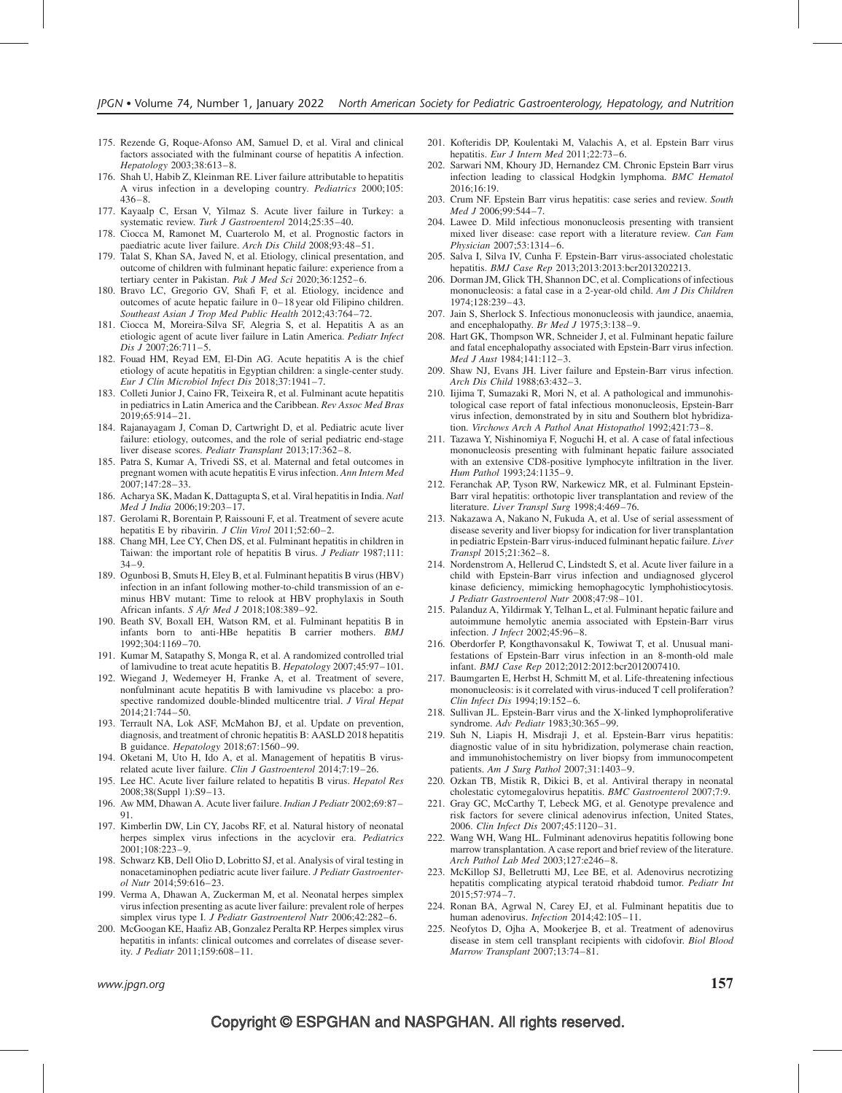- 175. Rezende G, Roque-Afonso AM, Samuel D, et al. Viral and clinical factors associated with the fulminant course of hepatitis A infection. Hepatology 2003;38:613–8.
- 176. Shah U, Habib Z, Kleinman RE. Liver failure attributable to hepatitis A virus infection in a developing country. Pediatrics 2000;105: 436–8.
- 177. Kayaalp C, Ersan V, Yilmaz S. Acute liver failure in Turkey: a systematic review. Turk J Gastroenterol 2014;25:35–40.
- 178. Ciocca M, Ramonet M, Cuarterolo M, et al. Prognostic factors in paediatric acute liver failure. Arch Dis Child 2008;93:48–51.
- 179. Talat S, Khan SA, Javed N, et al. Etiology, clinical presentation, and outcome of children with fulminant hepatic failure: experience from a tertiary center in Pakistan. Pak J Med Sci 2020;36:1252-6.
- 180. Bravo LC, Gregorio GV, Shafi F, et al. Etiology, incidence and outcomes of acute hepatic failure in 0–18 year old Filipino children. Southeast Asian J Trop Med Public Health 2012;43:764–72.
- 181. Ciocca M, Moreira-Silva SF, Alegria S, et al. Hepatitis A as an etiologic agent of acute liver failure in Latin America. Pediatr Infect Dis J 2007;26:711–5.
- 182. Fouad HM, Reyad EM, El-Din AG. Acute hepatitis A is the chief etiology of acute hepatitis in Egyptian children: a single-center study. Eur J Clin Microbiol Infect Dis 2018;37:1941–7.
- 183. Colleti Junior J, Caino FR, Teixeira R, et al. Fulminant acute hepatitis in pediatrics in Latin America and the Caribbean. Rev Assoc Med Bras 2019;65:914–21.
- 184. Rajanayagam J, Coman D, Cartwright D, et al. Pediatric acute liver failure: etiology, outcomes, and the role of serial pediatric end-stage liver disease scores. *Pediatr Transplant* 2013;17:362-8.
- 185. Patra S, Kumar A, Trivedi SS, et al. Maternal and fetal outcomes in pregnant women with acute hepatitis E virus infection. Ann Intern Med 2007;147:28–33.
- 186. Acharya SK, Madan K, Dattagupta S, et al. Viral hepatitis in India. Natl Med J India 2006;19:203–17.
- 187. Gerolami R, Borentain P, Raissouni F, et al. Treatment of severe acute hepatitis E by ribavirin. *J Clin Virol* 2011;52:60-2.
- 188. Chang MH, Lee CY, Chen DS, et al. Fulminant hepatitis in children in Taiwan: the important role of hepatitis B virus. *J Pediatr* 1987;111:  $34-9.$
- 189. Ogunbosi B, Smuts H, Eley B, et al. Fulminant hepatitis B virus (HBV) infection in an infant following mother-to-child transmission of an eminus HBV mutant: Time to relook at HBV prophylaxis in South African infants. S Afr Med J 2018;108:389–92.
- 190. Beath SV, Boxall EH, Watson RM, et al. Fulminant hepatitis B in infants born to anti-HBe hepatitis B carrier mothers. BMJ 1992;304:1169–70.
- 191. Kumar M, Satapathy S, Monga R, et al. A randomized controlled trial of lamivudine to treat acute hepatitis B. Hepatology 2007;45:97–101.
- 192. Wiegand J, Wedemeyer H, Franke A, et al. Treatment of severe, nonfulminant acute hepatitis B with lamivudine vs placebo: a prospective randomized double-blinded multicentre trial. J Viral Hepat 2014;21:744–50.
- 193. Terrault NA, Lok ASF, McMahon BJ, et al. Update on prevention, diagnosis, and treatment of chronic hepatitis B: AASLD 2018 hepatitis B guidance. Hepatology 2018;67:1560–99.
- 194. Oketani M, Uto H, Ido A, et al. Management of hepatitis B virusrelated acute liver failure. Clin J Gastroenterol 2014;7:19–26.
- 195. Lee HC. Acute liver failure related to hepatitis B virus. Hepatol Res 2008;38(Suppl 1):S9–13.
- 196. Aw MM, Dhawan A. Acute liver failure. Indian J Pediatr 2002;69:87– 91.
- 197. Kimberlin DW, Lin CY, Jacobs RF, et al. Natural history of neonatal herpes simplex virus infections in the acyclovir era. *Pediatrics* 2001;108:223–9.
- 198. Schwarz KB, Dell Olio D, Lobritto SJ, et al. Analysis of viral testing in nonacetaminophen pediatric acute liver failure. J Pediatr Gastroenterol Nutr 2014;59:616–23.
- 199. Verma A, Dhawan A, Zuckerman M, et al. Neonatal herpes simplex virus infection presenting as acute liver failure: prevalent role of herpes simplex virus type I. J Pediatr Gastroenterol Nutr 2006;42:282-6.
- 200. McGoogan KE, Haafiz AB, Gonzalez Peralta RP. Herpes simplex virus hepatitis in infants: clinical outcomes and correlates of disease severity. J Pediatr 2011;159:608–11.
- 201. Kofteridis DP, Koulentaki M, Valachis A, et al. Epstein Barr virus hepatitis. Eur J Intern Med 2011;22:73-6.
- 202. Sarwari NM, Khoury JD, Hernandez CM. Chronic Epstein Barr virus infection leading to classical Hodgkin lymphoma. BMC Hematol 2016;16:19.
- 203. Crum NF. Epstein Barr virus hepatitis: case series and review. South Med J 2006;99:544–7.
- 204. Lawee D. Mild infectious mononucleosis presenting with transient mixed liver disease: case report with a literature review. Can Fam Physician 2007;53:1314–6.
- 205. Salva I, Silva IV, Cunha F. Epstein-Barr virus-associated cholestatic hepatitis. BMJ Case Rep 2013;2013:2013:bcr2013202213.
- 206. Dorman JM, Glick TH, Shannon DC, et al. Complications of infectious mononucleosis: a fatal case in a 2-year-old child. Am J Dis Children 1974;128:239–43.
- 207. Jain S, Sherlock S. Infectious mononucleosis with jaundice, anaemia, and encephalopathy. Br Med J 1975;3:138–9.
- 208. Hart GK, Thompson WR, Schneider J, et al. Fulminant hepatic failure and fatal encephalopathy associated with Epstein-Barr virus infection. Med J Aust 1984;141:112–3.
- 209. Shaw NJ, Evans JH. Liver failure and Epstein-Barr virus infection. Arch Dis Child 1988;63:432–3.
- 210. Iijima T, Sumazaki R, Mori N, et al. A pathological and immunohistological case report of fatal infectious mononucleosis, Epstein-Barr virus infection, demonstrated by in situ and Southern blot hybridization. Virchows Arch A Pathol Anat Histopathol 1992;421:73–8.
- 211. Tazawa Y, Nishinomiya F, Noguchi H, et al. A case of fatal infectious mononucleosis presenting with fulminant hepatic failure associated with an extensive CD8-positive lymphocyte infiltration in the liver. Hum Pathol 1993;24:1135–9.
- 212. Feranchak AP, Tyson RW, Narkewicz MR, et al. Fulminant Epstein-Barr viral hepatitis: orthotopic liver transplantation and review of the literature. Liver Transpl Surg 1998;4:469-76.
- 213. Nakazawa A, Nakano N, Fukuda A, et al. Use of serial assessment of disease severity and liver biopsy for indication for liver transplantation in pediatric Epstein-Barr virus-induced fulminant hepatic failure. Liver Transpl 2015;21:362–8.
- 214. Nordenstrom A, Hellerud C, Lindstedt S, et al. Acute liver failure in a child with Epstein-Barr virus infection and undiagnosed glycerol kinase deficiency, mimicking hemophagocytic lymphohistiocytosis. J Pediatr Gastroenterol Nutr 2008;47:98–101.
- 215. Palanduz A, Yildirmak Y, Telhan L, et al. Fulminant hepatic failure and autoimmune hemolytic anemia associated with Epstein-Barr virus infection. J Infect 2002;45:96–8.
- 216. Oberdorfer P, Kongthavonsakul K, Towiwat T, et al. Unusual manifestations of Epstein-Barr virus infection in an 8-month-old male infant. BMJ Case Rep 2012;2012:2012:bcr2012007410.
- 217. Baumgarten E, Herbst H, Schmitt M, et al. Life-threatening infectious mononucleosis: is it correlated with virus-induced T cell proliferation? Clin Infect Dis 1994;19:152–6.
- 218. Sullivan JL. Epstein-Barr virus and the X-linked lymphoproliferative syndrome. Adv Pediatr 1983;30:365–99.
- 219. Suh N, Liapis H, Misdraji J, et al. Epstein-Barr virus hepatitis: diagnostic value of in situ hybridization, polymerase chain reaction, and immunohistochemistry on liver biopsy from immunocompetent patients. Am J Surg Pathol 2007;31:1403-9.
- 220. Ozkan TB, Mistik R, Dikici B, et al. Antiviral therapy in neonatal cholestatic cytomegalovirus hepatitis. BMC Gastroenterol 2007;7:9.
- 221. Gray GC, McCarthy T, Lebeck MG, et al. Genotype prevalence and risk factors for severe clinical adenovirus infection, United States, 2006. Clin Infect Dis 2007;45:1120–31.
- 222. Wang WH, Wang HL. Fulminant adenovirus hepatitis following bone marrow transplantation. A case report and brief review of the literature. Arch Pathol Lab Med 2003;127:e246–8.
- 223. McKillop SJ, Belletrutti MJ, Lee BE, et al. Adenovirus necrotizing hepatitis complicating atypical teratoid rhabdoid tumor. Pediatr Int 2015;57:974–7.
- 224. Ronan BA, Agrwal N, Carey EJ, et al. Fulminant hepatitis due to human adenovirus. Infection 2014;42:105-11.
- 225. Neofytos D, Ojha A, Mookerjee B, et al. Treatment of adenovirus disease in stem cell transplant recipients with cidofovir. Biol Blood Marrow Transplant 2007;13:74–81.